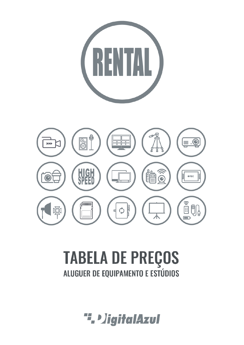

# **TABELA DE PREÇOS**<br>ALUGUER DE EQUIPAMENTO E ESTÚDIOS

". DigitalAzul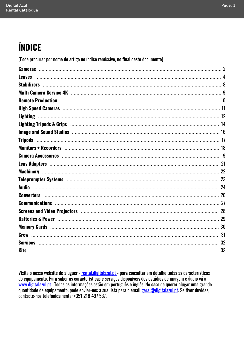## ÍNDICE

(Pode procurar por nome de artigo no índice remissivo, no final deste documento)

| <b>Lenses</b>                                                                                                                                                                                                                  |  |
|--------------------------------------------------------------------------------------------------------------------------------------------------------------------------------------------------------------------------------|--|
|                                                                                                                                                                                                                                |  |
|                                                                                                                                                                                                                                |  |
|                                                                                                                                                                                                                                |  |
|                                                                                                                                                                                                                                |  |
| <b>Lighting</b>                                                                                                                                                                                                                |  |
| Lighting Tripods & Grips (and the continuum continuum continuum continuum contractor and the 14                                                                                                                                |  |
|                                                                                                                                                                                                                                |  |
|                                                                                                                                                                                                                                |  |
| Monitors + Recorders with the control of the control of the control of the control of the control of the control of the control of the control of the control of the control of the control of the control of the control of t |  |
|                                                                                                                                                                                                                                |  |
|                                                                                                                                                                                                                                |  |
|                                                                                                                                                                                                                                |  |
|                                                                                                                                                                                                                                |  |
|                                                                                                                                                                                                                                |  |
|                                                                                                                                                                                                                                |  |
|                                                                                                                                                                                                                                |  |
| Screens and Video Projectors (and according to the control of the control of the control of the control of the                                                                                                                 |  |
|                                                                                                                                                                                                                                |  |
|                                                                                                                                                                                                                                |  |
|                                                                                                                                                                                                                                |  |
|                                                                                                                                                                                                                                |  |
| <b>Kits</b>                                                                                                                                                                                                                    |  |

Visite o nosso website de aluguer - rental.digitalazul.pt - para consultar em detalhe todas as características do equipamento. Para saber as características e serviços disponíveis dos estúdios de imagem e áudio vá a www.digitalazul.pt . Todas as informações estão em português e inglês. No caso de querer alugar uma grande quantidade de equipamento, pode enviar-nos a sua lista para o email geral@digitalazul.pt. Se tiver duvidas, contacte-nos telefónicamente: +351 218 497 537.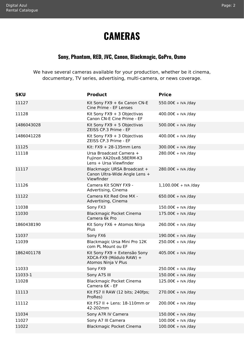### **CAMERAS**

#### **Sony, Phantom, RED, JVC, Canon, Blackmagic, GoPro, Osmo**

<span id="page-2-1"></span><span id="page-2-0"></span>We have several cameras available for your production, whether be it cinema, documentary, TV series, advertising, multi-camera, or news coverage.

| <b>SKU</b> | <b>Product</b>                                                                 | <b>Price</b>           |
|------------|--------------------------------------------------------------------------------|------------------------|
| 11127      | Kit Sony FX9 + 6x Canon CN-E<br>Cine Prime - EF Lenses                         | 550.00€ + IVA /day     |
| 11128      | Kit Sony $FX9 + 3$ Objectivas<br>Canon CN-E Cine Prime - EF                    | 400.00€ + IVA /day     |
| 1486043028 | Kit Sony $FX9 + 5$ Objectivas<br>ZEISS CP.3 Prime - EF                         | 500.00€ + IVA /day     |
| 1486041228 | Kit Sony FX9 + 3 Objectivas<br>ZEISS CP.3 Prime - EF                           | 400.00€ + IVA /day     |
| 11125      | Kit: $FX9 + 28-135$ mm Lens                                                    | 300.00€ + IVA /day     |
| 11118      | Ursa Broadcast Camera +<br>Fujinon XA20sx8.5BERM-K3<br>Lens + Ursa Viewfinder  | 280.00€ + IVA /day     |
| 11117      | Blackmagic URSA Broadcast +<br>Canon Ultra-Wide Angle Lens +<br>Viewfinder     | 280.00€ + IVA /day     |
| 11126      | Camera Kit SONY FX9 -<br>Advertising, Cinema                                   | $1,100.00€ + IVA$ /day |
| 11122      | Camera Kit Red One MX -<br>Advertising, Cinema                                 | 650.00€ + IVA /day     |
| 11038      | Sony FX3                                                                       | 150.00€ + IVA /day     |
| 11030      | <b>Blackmagic Pocket Cinema</b><br>Camera 6k Pro                               | $175.00€ + IVA$ /day   |
| 1860438190 | Kit Sony FX6 + Atomos Ninja<br>Plus                                            | 260.00€ + IVA /day     |
| 11037      | Sony FX6                                                                       | 190.00€ + IVA /day     |
| 11039      | Blackmagic Ursa Mini Pro 12K<br>com PL Mount ou EF                             | 250.00€ + IVA /day     |
| 1862401178 | Kit Sony FX9 + Extensão Sony<br>XDCA-FX9 (Módulo RAW) +<br>Atomos Ninja V Plus | 405.00€ + IVA /day     |
| 11033      | Sony FX9                                                                       | 250.00€ + IVA /day     |
| 11033-1    | Sony A7S III                                                                   | 150.00€ + IVA /day     |
| 11028      | Blackmagic Pocket Cinema<br>Camera 6K - EF                                     | 125.00€ + IVA /day     |
| 11113      | Kit FS7 II RAW (12 bits; 240fps;<br>ProRes)                                    | 270.00€ + IVA /day     |
| 11112      | Kit FS7 II + Lens: $18-110$ mm or<br>42-202mm                                  | 200.00€ + IVA /day     |
| 11034      | Sony A7R IV Camera                                                             | 150.00€ + IVA /day     |
| 11027      | Sony A7 III Camera                                                             | 100.00€ + IVA /day     |
| 11022      | Blackmagic Pocket Cinema                                                       | 100.00€ + IVA /day     |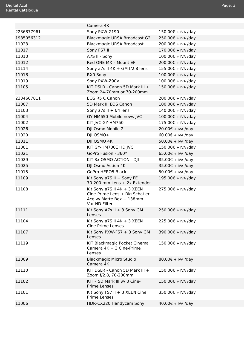<span id="page-3-0"></span>

| al Azul<br>al Catalogue |                                                                                             |                             |
|-------------------------|---------------------------------------------------------------------------------------------|-----------------------------|
|                         |                                                                                             |                             |
|                         |                                                                                             |                             |
|                         | Camera 4K                                                                                   |                             |
| 2236877961              | Sony PXW-Z190                                                                               | 150.00€ + IVA /day          |
| 1985056312              | <b>Blackmagic URSA Broadcast G2</b>                                                         | 250.00€ + IVA /day          |
| 11023                   | <b>Blackmagic URSA Broadcast</b>                                                            | 200.00€ + IVA /day          |
| 11017                   | Sony FS7 II                                                                                 | 170.00€ + IVA /day          |
| 11010                   | A7S II - Sony                                                                               | 100.00€ + IVA /day          |
| 11012                   | Red ONE MX - Mount EF                                                                       | 200.00€ + IVA /day          |
| 11114                   | Sony a7s II $4K + GMf/2.8$ lens                                                             | 155.00€ + IVA /day          |
| 11018                   | RX0 Sony                                                                                    | 100.00€ + IVA /day          |
| 11019                   | Sony PXW-Z90V                                                                               | 100.00€ + IVA /day          |
| 11105                   | KIT DSLR - Canon 5D Mark III +<br>Zoom 24-70mm or 70-200mm                                  | 150.00€ + IVA /day          |
| 2334607811              | <b>EOS R5 C Canon</b>                                                                       | 200.00€ + IVA /day          |
| 11007                   | 5D Mark III EOS Canon                                                                       | 100.00€ + IVA /day          |
| 11103                   | Sony a7s $II + f/4$ lens                                                                    | 140.00€ + IVA /day          |
| 11004                   | GY-HM650 Mobile news JVC                                                                    | 100.00€ + IVA /day          |
| 11002                   | KIT JVC GY-HM750                                                                            | 175.00€ + IVA /day          |
| 11026                   | DJI Osmo Mobile 2                                                                           | 20.00€ + IVA /day           |
| 11020                   | DJI OSMO+                                                                                   | $60.00 \epsilon$ + IVA /day |
| 11011                   | DJI OSMO 4K                                                                                 | 50.00€ + IVA /day           |
| 11001                   | KIT GY-HM700E HD JVC                                                                        | 150.00€ + IVA /day          |
| 11021                   | GoPro Fusion - 360º                                                                         | $65.00€ + IVA$ /day         |
| 11029                   | KIT 3x OSMO ACTION - DJI                                                                    | 85.00€ + IVA /day           |
| 11025                   | DJI Osmo Action 4K                                                                          | 35.00€ + IVA /day           |
| 11015                   | GoPro HERO5 Black                                                                           | $50.00 \epsilon + IVA$ /day |
| 11109                   | Kit Sony a7S II + Sony FE<br>70-200 mm Lens + 2x Extender                                   | 195.00€ + IVA /day          |
| 11108                   | Kit Sony a7S II $4K + 3$ XEEN<br>Cine-Prime Lens + Rig Schatler<br>Ace w/ Matte Rox + 138mm | 275.00€ + IVA /day          |

| 11108 | Kit Sony a7S II $4K + 3$ XEEN<br>Cine-Prime Lens + Rig Schatler<br>Ace w/ Matte Box + 138mm<br>Var ND Filter | 275.00€ + IVA /day   |
|-------|--------------------------------------------------------------------------------------------------------------|----------------------|
| 11111 | Kit Sony A7s II + 3 Sony GM<br>Lenses                                                                        | 250.00€ + IVA /day   |
| 11104 | Kit Sony a7S II $4K + 3$ XEEN<br><b>Cine Prime Lenses</b>                                                    | 225.00€ + IVA /day   |
| 11107 | Kit Sony PXW-FS7 + 3 Sony GM<br>Lenses                                                                       | 390.00€ + IVA /day   |
| 11119 | KIT Blackmagic Pocket Cinema<br>Camera $4K + 3$ Cine-Prime<br>Lenses                                         | 150.00€ + IVA /day   |
| 11009 | <b>Blackmagic Micro Studio</b><br>Camera 4K                                                                  | $80.00€ + IVA /day$  |
| 11110 | KIT DSLR - Canon 5D Mark III +<br>Zoom f/2.8, 70-200mm                                                       | 150.00€ + IVA /day   |
| 11102 | KIT - 5D Mark III w/ 3 Cine-<br><b>Prime Lenses</b>                                                          | $150.00€ + IVA$ /day |
| 11101 | Kit Sony FS7 II + 3 XEEN Cine<br><b>Prime Lenses</b>                                                         | 350.00€ + IVA /day   |
| 11006 | HDR-CX220 Handycam Sony                                                                                      | $40.00€ + IVA$ /day  |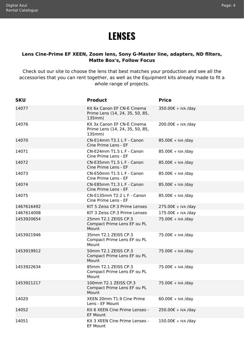### **LENSES**

#### <span id="page-4-1"></span><span id="page-4-0"></span>**Lens Cine-Prime EF XEEN, Zoom lens, Sony G-Master line, adapters, ND filters, Matte Box's, Follow Focus**

Check out our site to choose the lens that best matches your production and see all the accessories that you can rent together, as well as the Equipment kits already made to fit a whole range of projects.

| <b>SKU</b> | <b>Product</b>                                                           | <b>Price</b>                |
|------------|--------------------------------------------------------------------------|-----------------------------|
| 14077      | Kit 6x Canon EF CN-E Cinema<br>Prime Lens (14, 24, 35, 50, 85,<br>135mm) | 350.00€ + IVA /day          |
| 14076      | Kit 3x Canon EF CN-E Cinema<br>Prime Lens (14, 24, 35, 50, 85,<br>135mm) | 200.00€ + IVA /day          |
| 14070      | CN-E14mm T3.1 L F - Canon<br>Cine Prime Lens - EF                        | $85.00€ + IVA$ /day         |
| 14071      | CN-E24mm T1.5 L F - Canon<br>Cine Prime Lens - EF                        | 85.00€ + IVA /day           |
| 14072      | CN-E35mm T1.5 L F - Canon<br>Cine Prime Lens - EF                        | $85.00€ + IVA$ /day         |
| 14073      | CN-E50mm T1.5 L F - Canon<br>Cine Prime Lens - EF                        | 85.00€ + IVA /day           |
| 14074      | CN-E85mm T1.3 L F - Canon<br>Cine Prime Lens - EF                        | $85.00€ + IVA$ /day         |
| 14075      | CN-E135mm T2.2 L F - Canon<br>Cine Prime Lens - EF                       | $85.00€ + IVA$ /day         |
| 1467616492 | KIT 5 Zeiss CP.3 Prime Lenses                                            | 275.00€ + IVA /day          |
| 1467614008 | KIT 3 Zeiss CP.3 Prime Lenses                                            | 175.00€ + IVA /day          |
| 1453920654 | 25mm T2.1 ZEISS CP.3<br>Compact Prime Lens EF ou PL<br>Mount             | 75.00€ + IVA /day           |
| 1453921946 | 35mm T2.1 ZEISS CP.3<br>Compact Prime Lens EF ou PL<br>Mount             | 75.00€ + IVA /day           |
| 1453919912 | 50mm T2.1 ZEISS CP.3<br>Compact Prime Lens EF ou PL<br>Mount             | 75.00€ + IVA /day           |
| 1453922634 | 85mm T2.1 ZEISS CP.3<br>Compact Prime Lens EF ou PL<br>Mount             | 75.00€ + IVA /day           |
| 1453921217 | 100mm T2.1 ZEISS CP.3<br>Compact Prime Lens EF ou PL<br>Mount            | 75.00€ + IVA /day           |
| 14020      | XEEN 20mm T1.9 Cine Prime<br>Lens - EF Mount                             | $60.00 \epsilon$ + IVA /day |
| 14052      | Kit 6 XEEN Cine Prime Lenses -<br><b>EF Mount</b>                        | 250.00€ + IVA /day          |
| 14051      | Kit 3 XEEN Cine Prime Lenses -<br>EF Mount                               | 150.00€ + IVA /day          |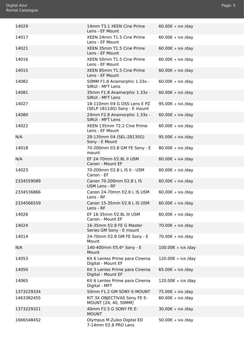<span id="page-5-0"></span>

| 14029      | 14mm T3.1 XEEN Cine Prime<br>Lens - EF Mount                 | $60.00€ + IVA$ /day         |
|------------|--------------------------------------------------------------|-----------------------------|
| 14017      | XEEN 24mm T1.5 Cine Prime<br>Lens - EF Mount                 | $60.00 \epsilon$ + IVA /day |
| 14021      | XEEN 35mm T1.5 Cine Prime<br>Lens - EF Mount                 | $60.00 \epsilon$ + IVA /day |
| 14016      | XEEN 50mm T1.5 Cine Prime<br>Lens - EF Mount                 | 60.00€ + IVA /day           |
| 14015      | XEEN 85mm T1.5 Cine Prime<br>Lens - EF Mount                 | $60.00 \epsilon$ + IVA /day |
| 14082      | 50MM F1.8 Anamorphic 1.33x -<br>SIRUI - MFT Lens             | $60.00 \epsilon$ + IVA /day |
| 14081      | 35mm F1.8 Anamorphic 1.33x -<br><b>SIRUI - MFT Lens</b>      | $60.00 \epsilon$ + IVA /day |
| 14027      | 18-110mm f/4 G OSS Lens E PZ<br>(SELP 18110G) Sony - E mount | 95.00€ + IVA /day           |
| 14080      | 24mm F2.8 Anamorphic 1.33x -<br>SIRUI - MFT Lens             | $60.00 \epsilon$ + IVA /day |
| 14022      | XEEN 135mm T2.2 Cine Prime<br>Lens - EF Mount                | $60.00 \epsilon$ + IVA /day |
| N/A        | 28-135mm f/4 (SEL-28135G)<br>Sony - E Mount                  | 95.00€ + IVA /day           |
| 14018      | 70-200mm f/2.8 GM FE Sony - E<br>mount                       | $80.00€ + IVA$ /day         |
| N/A        | EF 24-70mm f/2.8L II USM<br>Canon - Mount EF                 | $60.00 \epsilon$ + IVA /day |
| 14023      | 70-200mm f/2.8 L IS II - USM<br>Canon - EF                   | $60.00€ + IVA$ /day         |
| 2334559089 | Canon 70-200mm f/2.8 L IS<br><b>USM Lens - RF</b>            | $60.00 \epsilon$ + IVA /day |
| 2334536866 | Canon 24-70mm f/2.8 L IS USM<br>Lens - RF                    | $60.00 \epsilon$ + IVA /day |
| 2334566559 | Canon 15-35mm f/2.8 L IS USM<br>Lens - RF                    | $60.00 \epsilon$ + IVA /day |
| 14026      | EF 16-35mm f/2.8L III USM<br>Canon - Mount EF                | $60.00€ + IVA$ /day         |
| 14024      | 16-35mm f/2.8 FE G Master<br>Series GM Sony - E mount        | 70.00€ + IVA /day           |
| 14014      | 24-70mm f/2.8 GM FE Sony - E<br>Mount                        | 70.00€ + IVA /day           |
| N/A        | 140-400mm f/5.6* Sony - E<br>Mount                           | 100.00€ + IVA /day          |
| 14053      | Kit 6 Lentes Prime para Cinema<br>Digital - Mount EF         | 120.00€ + IVA /day          |
| 14050      | Kit 3 Lentes Prime para Cinema<br>Digital - Mount EF         | $65.00€ + IVA$ /day         |
| 14065      | Kit 6 Lentes Prime para Cinema<br>Digital - MFT              | 120.00€ + IVA /day          |
| 1373229334 | 50mm F1.2 GM SONY E-MOUNT                                    | 75.00€ + IVA /day           |
| 1463382455 | KIT 3X OBJECTIVAS Sony FE E-<br>MOUNT [24, 40, 50MM]         | $60.00 \epsilon$ + IVA /day |
| 1373229321 | 40mm F2.5 G SONY FE E-<br><b>MOUNT</b>                       | $30.00 \epsilon$ + IVA /day |
| 1666548452 | Olympus M.Zuiko Digital ED<br>7-14mm f/2.8 PRO Lens          | 50.00€ + IVA /day           |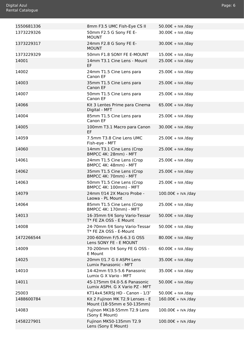<span id="page-6-0"></span>

| 1550681336 | 8mm F3.5 UMC Fish-Eye CS II                                    | 50.00€ + IVA /day           |
|------------|----------------------------------------------------------------|-----------------------------|
| 1373229326 | 50mm F2.5 G Sony FE E-<br><b>MOUNT</b>                         | $30.00 \epsilon$ + IVA /day |
| 1373229317 | 24mm F2.8 G Sony FE E-<br><b>MOUNT</b>                         | $30.00 \epsilon$ + IVA /day |
| 1373229329 | 50mm F1.8 SONY FE E-MOUNT                                      | 15.00€ + IVA /day           |
| 14001      | 14mm T3.1 Cine Lens - Mount<br>EF                              | 25.00€ + IVA /day           |
| 14002      | 24mm T1.5 Cine Lens para<br>Canon EF                           | $25.00€ + IVA$ /day         |
| 14003      | 35mm T1.5 Cine Lens para<br>Canon EF                           | $25.00€ + IVA$ /day         |
| 14007      | 50mm T1.5 Cine Lens para<br>Canon EF                           | $25.00€ + IVA$ /day         |
| 14066      | Kit 3 Lentes Prime para Cinema<br>Digital - MFT                | $65.00€ + IVA$ /day         |
| 14004      | 85mm T1.5 Cine Lens para<br>Canon EF                           | $25.00€ + IVA$ /day         |
| 14005      | 100mm T3.1 Macro para Canon<br><b>EF</b>                       | $30.00€ + IVA$ /day         |
| 14059      | 7.5mm T3.8 Cine Lens UMC<br>Fish-eye - MFT                     | $25.00€ + IVA$ /day         |
| 14060      | 14mm T3.1 Cine Lens (Crop<br><b>BMPCC 4K: 28mm) - MFT</b>      | 25.00€ + IVA /day           |
| 14061      | 24mm T1.5 Cine Lens (Crop<br>BMPCC 4K: 48mm) - MFT             | $25.00€ + IVA$ /day         |
| 14062      | 35mm T1.5 Cine Lens (Crop<br><b>BMPCC 4K: 70mm) - MFT</b>      | 25.00€ + IVA /day           |
| 14063      | 50mm T1.5 Cine Lens (Crop<br><b>BMPCC 4K: 100mm) - MFT</b>     | $25.00€ + IVA$ /day         |
| 14079      | 24mm f/14 2X Macro Probe -<br>Laowa - PL Mount                 | 100.00€ + IVA /day          |
| 14064      | 85mm T1.5 Cine Lens (Crop<br><b>BMPCC 4K: 170mm) - MFT</b>     | 25.00€ + IVA /day           |
| 14013      | 16-35mm f/4 Sony Vario-Tessar<br>T* FE ZA OSS - E Mount        | 50.00€ + IVA /day           |
| 14008      | 24-70mm f/4 Sony Vario-Tessar<br>T* FE ZA OSS - E-Mount        | 50.00€ + IVA /day           |
| 1472266544 | 200-600mm F/5.6-6.3 G OSS<br>Lens SONY FE - E MOUNT            | $80.00 \text{E} + IVA$ /day |
| 14009      | 70-200mm f/4 Sony FE G OSS -<br>E Mount                        | $60.00 \epsilon$ + IVA /day |
| 14025      | 20mm f/1.7 G II ASPH Lens<br>Lumix Panasonic - MFT             | 35.00€ + IVA /day           |
| 14010      | 14-42mm f/3.5-5.6 Panasonic<br>Lumix G X Vario - MFT           | $35.00€ + IVA$ /day         |
| 14011      | 45-175mm f/4.0-5.6 Panasonic<br>Lumix ASPH. G X Vario PZ - MFT | 50.00€ + IVA /day           |
| 25003      | KT14x4.5KRSJ HD - Canon - 1/3"                                 | 50.00€ + IVA /day           |
| 1488600784 | Kit 2 Fujinon MK T2.9 Lenses - E<br>Mount (18-55mm e 50-135mm) | 160.00€ + IVA /day          |
| 14083      | Fujinon MK18-55mm T2.9 Lens<br>(Sony E Mount)                  | 100.00€ + IVA /day          |
| 1458227901 | Fujinon MK50-135mm T2.9<br>Lens (Sony E Mount)                 | 100.00€ + IVA /day          |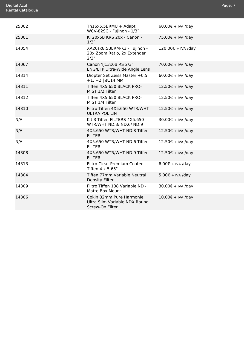<span id="page-7-0"></span>

| 25002 | Th $16x5.5BRMU + Adapt.$<br>WCV-82SC - Fujinon - 1/3"                        | $60.00€ + IVA$ /day         |
|-------|------------------------------------------------------------------------------|-----------------------------|
| 25001 | KT20x5B KRS 20x - Canon -<br>1/3''                                           | 75.00€ + IVA /day           |
| 14054 | XA20sx8.5BERM-K3 - Fujinon -<br>20x Zoom Ratio, 2x Extender<br>2/3"          | 120.00€ + IVA /day          |
| 14067 | Canon YJ13x6BIRS 2/3"<br>ENG/EFP Ultra-Wide Angle Lens                       | 70.00€ + IVA /day           |
| 14314 | Diopter Set Zeiss Master +0.5,<br>$+1, +2$   ø114 MM                         | $60.00 \epsilon$ + IVA /day |
| 14311 | Tiffen 4X5.650 BLACK PRO-<br>MIST 1/2 Filter                                 | $12.50€ + IVA$ /day         |
| 14312 | Tiffen 4X5.650 BLACK PRO-<br>MIST 1/4 Filter                                 | 12.50€ + IVA /day           |
| 14310 | Filtro Tiffen 4X5.650 WTR/WHT<br><b>ULTRA POL LIN</b>                        | $12.50 \epsilon$ + IVA /day |
| N/A   | Kit 3 Tiffen FILTERS 4X5.650<br>WTR/WHT ND.3/ ND.6/ ND.9                     | $30.00 \epsilon$ + IVA /day |
| N/A   | 4X5.650 WTR/WHT ND.3 Tiffen<br><b>FILTER</b>                                 | 12.50€ + IVA /day           |
| N/A   | 4X5.650 WTR/WHT ND.6 Tiffen<br><b>FILTER</b>                                 | $12.50€ + IVA$ /day         |
| 14308 | 4X5.650 WTR/WHT ND.9 Tiffen<br><b>FILTER</b>                                 | 12.50€ + IVA /day           |
| 14313 | <b>Filtro Clear Premium Coated</b><br>Tiffen 4 x 5.65"                       | $6.00 \epsilon$ + IVA /day  |
| 14304 | Tiffen 77mm Variable Neutral<br><b>Density Filter</b>                        | $5.00 \epsilon$ + IVA /day  |
| 14309 | Filtro Tiffen 138 Variable ND -<br>Matte Box Mount                           | $30.00 \text{E}$ + IVA /day |
| 14306 | Cokin 82mm Pure Harmonie<br>Ultra Slim Variable NDX Round<br>Screw-On Filter | $10.00 \text{E}$ + IVA /day |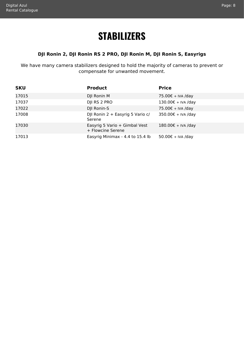### **STABILIZERS**

#### <span id="page-8-1"></span>**DJI Ronin 2, DJI Ronin RS 2 PRO, DJI Ronin M, DJI Ronin S, Easyrigs**

<span id="page-8-0"></span>We have many camera stabilizers designed to hold the majority of cameras to prevent or compensate for unwanted movement.

| <b>SKU</b> | <b>Product</b>                                     | <b>Price</b>       |
|------------|----------------------------------------------------|--------------------|
| 17015      | DJI Ronin M                                        | 75.00€ + IVA /day  |
| 17037      | DJI RS 2 PRO                                       | 130.00€ + IVA /day |
| 17022      | DJI Ronin-S                                        | 75.00€ + IVA /day  |
| 17008      | DJI Ronin 2 + Easyrig 5 Vario c/<br>Serene         | 350.00€ + IVA /day |
| 17030      | Easyrig 5 Vario + Gimbal Vest<br>+ Flowcine Serene | 180.00€ + IVA /day |
| 17013      | Easyrig Minimax - 4.4 to 15.4 lb                   | 50.00€ + IVA /day  |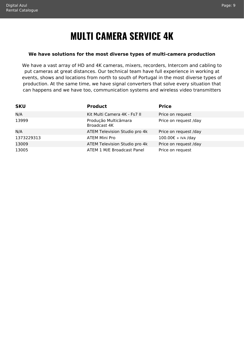### **MULTI CAMERA SERVICE 4K**

#### <span id="page-9-1"></span><span id="page-9-0"></span>**We have solutions for the most diverse types of multi-camera production**

We have a vast array of HD and 4K cameras, mixers, recorders, Intercom and cabling to put cameras at great distances. Our technical team have full experience in working at events, shows and locations from north to south of Portugal in the most diverse types of production. At the same time, we have signal converters that solve every situation that can happens and we have too, communication systems and wireless video transmitters

| <b>SKU</b> | <b>Product</b>                       | <b>Price</b>          |
|------------|--------------------------------------|-----------------------|
| N/A        | Kit Multi Camera 4K - Fs7 II         | Price on request      |
| 13999      | Produção Multicâmara<br>Broadcast 4K | Price on request /day |
| N/A        | ATEM Television Studio pro 4k        | Price on request /day |
| 1373229313 | <b>ATEM Mini Pro</b>                 | 100.00€ + IVA /day    |
| 13009      | ATEM Television Studio pro 4k        | Price on request /day |
| 13005      | ATEM 1 M/E Broadcast Panel           | Price on request      |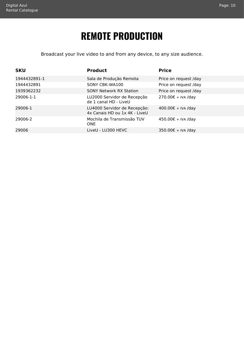### **REMOTE PRODUCTION**

<span id="page-10-1"></span>Broadcast your live video to and from any device, to any size audience.

<span id="page-10-0"></span>

| <b>SKU</b>   | <b>Product</b>                                                | <b>Price</b>          |
|--------------|---------------------------------------------------------------|-----------------------|
| 1944432891-1 | Sala de Produção Remota                                       | Price on request /day |
| 1944432891   | SONY CBK-WA100                                                | Price on request /day |
| 1939362232   | <b>SONY Network RX Station</b>                                | Price on request /day |
| 29006-1-1    | LU2000 Servidor de Recepção<br>de 1 canal HD - LiveU          | 270.00€ + IVA /day    |
| 29006-1      | LU4000 Servidor de Recepção:<br>4x Canais HD ou 1x 4K - LiveU | 400.00€ + IVA /day    |
| 29006-2      | Mochila de Transmissão TUV<br><b>ONE</b>                      | 450.00€ + IVA /day    |
| 29006        | LiveU - LU300 HEVC                                            | 350.00€ + IVA /day    |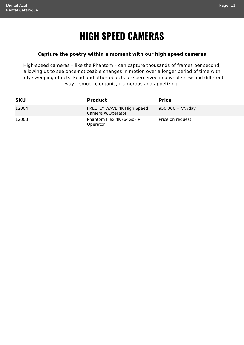### **HIGH SPEED CAMERAS**

#### <span id="page-11-1"></span>**Capture the poetry within a moment with our high speed cameras**

<span id="page-11-0"></span>High-speed cameras – like the Phantom – can capture thousands of frames per second, allowing us to see once-noticeable changes in motion over a longer period of time with truly sweeping effects. Food and other objects are perceived in a whole new and different way – smooth, organic, glamorous and appetizing.

| <b>SKU</b> | <b>Product</b>                                  | <b>Price</b>       |
|------------|-------------------------------------------------|--------------------|
| 12004      | FREEFLY WAVE 4K High Speed<br>Camera w/Operator | 950.00€ + IVA /day |
| 12003      | Phantom Flex 4K (64Gb) +<br>Operator            | Price on request   |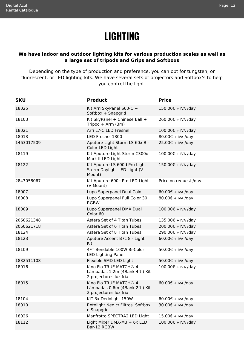### **LIGHTING**

#### <span id="page-12-1"></span><span id="page-12-0"></span>**We have indoor and outdoor lighting kits for various production scales as well as a large set of tripods and Grips and Softboxs**

Depending on the type of production and preference, you can opt for tungsten, or fluorescent, or LED lighting kits. We have several sets of projectors and Softbox's to help you control the light.

| <b>SKU</b> | <b>Product</b>                                                                                 | <b>Price</b>                |
|------------|------------------------------------------------------------------------------------------------|-----------------------------|
| 18025      | Kit Arri SkyPanel S60-C +<br>Softbox + Snapgrid                                                | 150.00€ + IVA /day          |
| 18103      | Kit SkyPanel + Chinese Ball +<br>Tripod + Arm $(3m)$                                           | 260.00€ + IVA /day          |
| 18021      | Arri L7-C LED Fresnel                                                                          | 100.00€ + IVA /day          |
| 18013      | LED Fresnel 1300                                                                               | $80.00 \epsilon + IVA$ /day |
| 1463017509 | Aputure Light Storm LS 60x Bi-<br>Color LED Light                                              | 25.00€ + IVA /day           |
| 18119      | Kit Aputure Light Storm C300d<br>Mark II LED Light                                             | 100.00€ + IVA /day          |
| 18122      | Kit Aputure LS 600d Pro Light<br>Storm Daylight LED Light (V-<br>Mount)                        | 150.00€ + IVA /day          |
| 2843058067 | Kit Aputure 600c Pro LED Light<br>(V-Mount)                                                    | Price on request /day       |
| 18007      | Lupo Superpanel Dual Color                                                                     | $60.00 \epsilon$ + IVA /day |
| 18008      | Lupo Superpanel Full Color 30<br><b>RGBW</b>                                                   | 80.00€ + IVA /day           |
| 18009      | Lupo Superpanel DMX Dual<br>Color <sub>60</sub>                                                | 100.00€ + IVA /day          |
| 2060621348 | Astera Set of 4 Titan Tubes                                                                    | 135.00€ + IVA /day          |
| 2060621718 | Astera Set of 6 Titan Tubes                                                                    | 200.00€ + IVA /day          |
| 18124      | Astera Set of 8 Titan Tubes                                                                    | 290.00€ + IVA /day          |
| 18123      | Aputure Accent B7c 8 - Light<br>Kit                                                            | $60.00 \epsilon$ + IVA /day |
| 18109      | 4FT Bendable 100W Bi-Color<br><b>LED Lighting Panel</b>                                        | 50.00€ + IVA /day           |
| 1832511108 | Flexible SMD LED Light                                                                         | $50.00 \epsilon + IVA$ /day |
| 18016      | Kino Flo TRUE MATCH® 4<br>Lâmpadas 1,2m (4Bank 4ft.) Kit<br>2 projectores luz fria             | 100.00€ + IVA /day          |
| 18015      | Kino Flo TRUE MATCH <sup>®</sup> 4<br>Lâmpadas 0,6m (4Bank 2ft.) Kit<br>2 projectores luz fria | $60.00€ + IVA$ /day         |
| 18104      | KIT 3x Dedolight 150W                                                                          | $60.00 \epsilon$ + IVA /day |
| 18010      | Rotolight Neo c/ Filtros, Softbox<br>e Snapgrid                                                | 30.00€ + IVA /day           |
| 18026      | Manfrotto SPECTRA2 LED Light                                                                   | 15.00€ + IVA /day           |
| 18112      | Light Mixer DMX-M3 + 6x LED<br>Bar-12 RGBW                                                     | 100.00€ + IVA /day          |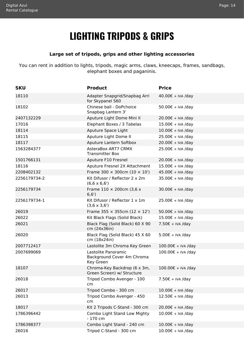### **LIGHTING TRIPODS & GRIPS**

#### **Large set of tripods, grips and other lighting accessories**

<span id="page-14-1"></span><span id="page-14-0"></span>You can rent in addition to lights, tripods, magic arms, claws, kneecaps, frames, sandbags, elephant boxes and paganinis.

| <b>SKU</b>   | <b>Product</b>                                                 | <b>Price</b>                |
|--------------|----------------------------------------------------------------|-----------------------------|
| 18110        | Adapter Snapgrid/Snapbag Arri<br>for Skypanel S60              | $40.00€ + IVA$ /day         |
| 18102        | Chinese ball - DoPchoice<br>Snapbag Lantern 3'                 | 50.00€ + IVA /day           |
| 2407132229   | Aputure Light Dome Mini II                                     | 20.00€ + IVA /day           |
| 17016        | Elephant Boxes / 3 Tabelas                                     | 15.00€ + IVA /day           |
| 18114        | Aputure Space Light                                            | 10.00€ + IVA /day           |
| 18115        | Aputure Light Dome II                                          | 25.00€ + IVA /day           |
| 18117        | Aputure Lantern Softbox                                        | 20.00€ + IVA /day           |
| 1563284377   | AsteraBox ART7 CRMX<br><b>Transmitter Box</b>                  | 25.00€ + IVA /day           |
| 1501766131   | Aputure F10 Fresnel                                            | 20.00€ + IVA /day           |
| 18116        | Aputure Fresnel 2X Attachment                                  | 15.00€ + IVA /day           |
| 2208402132   | Frame 300 $\times$ 300cm (10 $\times$ 10')                     | 45.00€ + IVA /day           |
| 2256179734-2 | Kit Difusor / Reflector 2 x 2m<br>$(6, 6 \times 6, 6')$        | 35.00€ + IVA /day           |
| 2256179734   | Frame $110 \times 200$ cm (3,6 x<br>6, 6')                     | $30.00 \epsilon$ + IVA /day |
| 2256179734-1 | Kit Difusor / Reflector 1 x 1m<br>$(3,6 \times 3,6')$          | 25.00€ + IVA /day           |
| 26019        | Frame 355 $\times$ 355cm (12 $\times$ 12')                     | 50.00€ + IVA /day           |
| 26022        | Kit Black Flags (Solid Black)                                  | 15.00€ + IVA /day           |
| 26021        | Black Flag (Solid Black) 60 X 90<br>cm (24x36in)               | $7.50\epsilon$ + IVA /day   |
| 26020        | Black Flag (Solid Black) 45 X 60<br>cm (18x24in)               | $5.00\epsilon$ + IVA /day   |
| 2007712417   | Lastolite 3m Chroma Key Green                                  | 100.00€ + IVA /day          |
| 2007699069   | Lastolite Panoramic<br>Background Cover 4m Chroma<br>Key Green | 100.00€ + IVA /day          |
| 18107        | Chroma-Key Backdrop (6 x 3m,<br>Green Screen) w/ Structure     | $100.00€ + IVA /day$        |
| 26018        | Tripod Combo Avenger - 100<br>cm                               | $7.50€ + IVA$ /day          |
| 26017        | Tripod Combo - 300 cm                                          | 10.00€ + IVA /day           |
| 26013        | Tripod Combo Avenger - 450<br>cm                               | $12.50€ + IVA$ /day         |
| 18017        | Kit 2 Tripods C-Stand - 300 cm                                 | 20.00€ + IVA /day           |
| 1786396442   | Combo Light Stand Low Mighty<br>- 170 cm                       | $10.00 \text{E}$ + IVA /day |
| 1786398377   | Combo Light Stand - 240 cm                                     | 10.00€ + IVA /day           |
| 26016        | Tripod C-Stand - 300 cm                                        | 10.00€ + IVA /day           |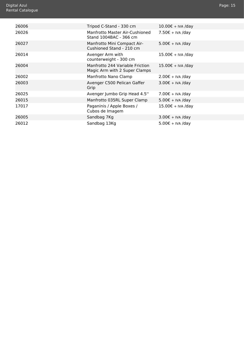<span id="page-15-0"></span>

| 26006 | Tripod C-Stand - 330 cm                                          | $10.00 \epsilon$ + IVA /day |
|-------|------------------------------------------------------------------|-----------------------------|
| 26026 | Manfrotto Master Air-Cushioned<br>Stand 1004BAC - 366 cm         | 7.50€ + IVA /day            |
| 26027 | Manfrotto Mini Compact Air-<br>Cushioned Stand - 210 cm          | $5.00€ + IVA$ /day          |
| 26014 | Avenger Arm with<br>counterweight - 300 cm                       | $15.00€ + IVA$ /day         |
| 26004 | Manfrotto 244 Variable Friction<br>Magic Arm with 2 Super Clamps | $15.00€ + IVA$ /day         |
| 26002 | Manfrotto Nano Clamp                                             | $2.00€ + IVA$ /day          |
| 26003 | Avenger C500 Pelican Gaffer<br>Grip                              | $3.00 \epsilon$ + IVA /day  |
| 26025 | Avenger Jumbo Grip Head 4.5"                                     | $7.00\epsilon$ + IVA /day   |
| 26015 | Manfrotto 035RL Super Clamp                                      | $5.00€ + IVA$ /day          |
| 17017 | Paganinis / Apple Boxes /<br>Cubos de Imagem                     | $15.00€ + IVA$ /day         |
| 26005 | Sandbag 7Kg                                                      | $3.00 \epsilon$ + IVA /day  |
| 26012 | Sandbag 13Kg                                                     | $5.00\epsilon$ + IVA /day   |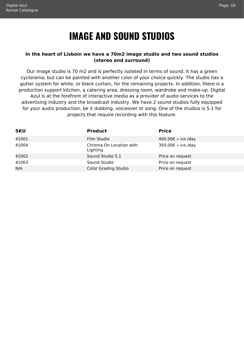### **IMAGE AND SOUND STUDIOS**

#### <span id="page-16-1"></span><span id="page-16-0"></span>**In the heart of Lisboin we have a 70m2 image studio and two sound studios (stereo and surround)**

Our image studio is 70 m2 and is perfectly isolated in terms of sound. It has a green cyclorama, but can be painted with another color of your choice quickly. The studio has a gutter system for white, or black curtain, for the remaining projects. In addition, there is a production support kitchen, a catering area, dressing room, wardrobe and make-up. Digital Azul is at the forefront of interactive media as a provider of audio services to the advertising industry and the broadcast industry. We have 2 sound studios fully equipped for your audio production, be it dubbing, voiceover or song. One of the studios is 5.1 for projects that require recording with this feature.

| <b>SKU</b> | <b>Product</b>                      | <b>Price</b>       |
|------------|-------------------------------------|--------------------|
| 41001      | Film Studio                         | 400.00€ + IVA /day |
| 41004      | Chroma On Location with<br>Lighting | 350.00€ + IVA /day |
| 41002      | Sound Studio 5.1                    | Price on request   |
| 41003      | Sound Studio                        | Price on request   |
| N/A        | <b>Color Grading Studio</b>         | Price on request   |
|            |                                     |                    |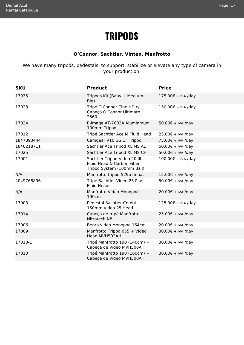#### Page: 17

### **TRIPODS**

#### **O'Connor, Sachtler, Vinten, Manfrotto**

<span id="page-17-1"></span><span id="page-17-0"></span>We have many tripods, pedestals, to support, stabilize or elevate any type of camera in your production.

| <b>SKU</b> | <b>Product</b>                                                                          | <b>Price</b>                |
|------------|-----------------------------------------------------------------------------------------|-----------------------------|
| 17035      | Tripods Kit (Baby + Medium +<br>Big)                                                    | $175.00€ + IVA$ /day        |
| 17028      | Tripé O'Connor Cine HD c/<br>Cabeça O'Connor Ultimate<br>2560                           | 150.00€ + IVA /day          |
| 17024      | E-image AT-7602A Aluminmum<br>100mm Tripod                                              | 50.00€ + IVA /day           |
| 17012      | Tripé Sachtler Ace M Fluid Head                                                         | 25.00€ + IVA /day           |
| 1847393444 | Camgear V10 GS CF Tripod                                                                | 75.00€ + IVA /day           |
| 1846218711 | Sachtler Ace Tripod XL MS AL                                                            | $50.00€ + IVA$ /day         |
| 17025      | Sachtler Ace Tripod XL MS CF                                                            | 50.00€ + IVA /day           |
| 17001      | Sachtler Tripod Video 20 III<br>Fluid Head & Carbon Fiber<br>Tripod System (100mm Ball) | 100.00€ + IVA /day          |
| N/A        | Manfrotto tripod 529b hi-hat                                                            | $15.00€ + IVA$ /day         |
| 2049768896 | Tripé Sachtler Video 25 Plus<br><b>Fluid Heads</b>                                      | $50.00 \epsilon + IVA$ /day |
| N/A        | Manfrotto Vídeo Monopod<br>190cm                                                        | $20.00 \epsilon$ + IVA /day |
| 17003      | Pedestal Sachtler Combi +<br>150mm Video 25 Head                                        | 125.00€ + IVA /day          |
| 17014      | Cabeça de tripé Manfrotto<br>Nitrotech N8                                               | 25.00€ + IVA /day           |
| 17006      | Benro video Monopod 164cm                                                               | $20.00 \epsilon$ + IVA /day |
| 17009      | Manfrotto Tripod 055 + Video<br>Head MVH502AH                                           | $30.00€ + IVA$ /day         |
| 17010-1    | Tripé Manfrotto 190 (146cm) +<br>Cabeça de Vídeo MVH500AH                               | $30.00 \epsilon$ + IVA /day |
| 17010      | Tripé Manfrotto 190 (160cm) +<br>Cabeça de Vídeo MVH500AH                               | $30.00€ + IVA$ /day         |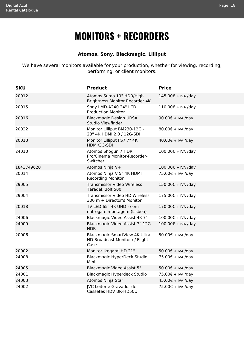### **MONITORS + RECORDERS**

#### **Atomos, Sony, Blackmagic, Lilliput**

<span id="page-18-1"></span><span id="page-18-0"></span>We have several monitors available for your production, whether for viewing, recording, performing, or client monitors.

| <b>SKU</b> | <b>Product</b>                                                                 | <b>Price</b>                |
|------------|--------------------------------------------------------------------------------|-----------------------------|
| 20012      | Atomos Sumo 19" HDR/High<br>Brightness Monitor Recorder 4K                     | 145.00€ + IVA /day          |
| 20015      | Sony LMD-A240 24" LCD<br><b>Production Monitor</b>                             | $110.00€ + IVA$ /day        |
| 20016      | <b>Blackmagic Design URSA</b><br>Studio Viewfinder                             | 90.00€ + IVA /day           |
| 20022      | Monitor Lilliput BM230-12G -<br>23" 4K HDMI 2.0 / 12G-SDI                      | $80.00€ + IVA$ /day         |
| 20013      | Monitor Lilliput FS7 7" 4K<br>HDMI/3G-SDI                                      | $40.00 \epsilon + IVA$ /day |
| 24010      | Atomos Shogun 7 HDR<br>Pro/Cinema Monitor-Recorder-<br>Switcher                | 100.00€ + IVA /day          |
| 1843749620 | Atomos Ninja V+                                                                | 100.00€ + IVA /day          |
| 20014      | Atomos Ninja V 5" 4K HDMI<br><b>Recording Monitor</b>                          | 75.00€ + IVA /day           |
| 29005      | <b>Transmissor Video Wireless</b><br>Teradek Bolt 500                          | 150.00€ + IVA /day          |
| 29004      | Transmissor Video HD Wireless<br>300 m + Director's Monitor                    | $175.00€ + IVA$ /day        |
| 20018      | TV LED 65" 4K UHD - com<br>entrega e montagem (Lisboa)                         | 170.00€ + IVA /day          |
| 24006      | Blackmagic Video Assist 4K 7"                                                  | 100.00€ + IVA /day          |
| 24009      | Blackmagic Video Assist 7" 12G<br><b>HDR</b>                                   | 100.00€ + IVA /day          |
| 20006      | <b>Blackmagic SmartView 4K Ultra</b><br>HD Broadcast Monitor c/ Flight<br>Case | $50.00 \epsilon + IVA$ /day |
| 20002      | Monitor Ikegami HD 21"                                                         | 50.00€ + IVA /day           |
| 24008      | <b>Blackmagic HyperDeck Studio</b><br>Mini                                     | 75.00€ + IVA /day           |
| 24005      | Blackmagic Video Assist 5"                                                     | 50.00€ + IVA /day           |
| 24001      | Blackmagic Hyperdeck Studio                                                    | 75.00€ + IVA /day           |
| 24003      | Atomos Ninja Star                                                              | 45.00€ + IVA /day           |
| 24002      | JVC Leitor e Gravador de<br>Cassetes HDV BR-HD50U                              | 75.00€ + IVA /day           |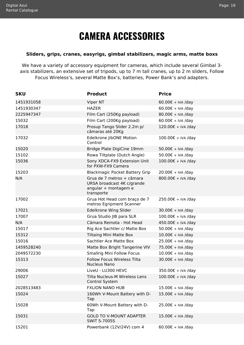### **CAMERA ACCESSORIES**

#### <span id="page-19-1"></span><span id="page-19-0"></span>**Sliders, grips, cranes, easyrigs, gimbal stabilizers, magic arms, matte boxs**

We have a variety of accessory equipment for cameras, which include several Gimbal 3 axis stabilizers, an extensive set of tripods, up to 7 m tall cranes, up to 2 m sliders, Follow Focus Wireless's, several Matte Box's, batteries, Power Bank's and adapters.

| <b>SKU</b> | <b>Product</b>                                                                                | <b>Price</b>                |
|------------|-----------------------------------------------------------------------------------------------|-----------------------------|
| 1451931058 | Viper NT                                                                                      | $60.00€ + IVA$ /day         |
| 1451930347 | <b>HAZER</b>                                                                                  | $60.00 \epsilon$ + IVA /day |
| 2225947347 | Film Cart (250Kg payload)                                                                     | 80.00€ + IVA /day           |
| 15032      | Film Cart (200Kg payload)                                                                     | $60.00 \epsilon$ + IVA /day |
| 17018      | Prosup Tango Slider 2.2m p/<br>câmaras até 20Kg                                               | 120.00€ + IVA /day          |
| 17032      | Edelkrone JibONE Motion<br>Control                                                            | 100.00€ + IVA /day          |
| 15020      | Bridge Plate DigiCine 19mm                                                                    | 50.00€ + IVA /day           |
| 15102      | Rowa Tiltplate (Dutch Angle)                                                                  | 50.00€ + IVA /day           |
| 15036      | Sony XDCA-FX9 Extension Unit<br>for PXW-FX9 Camera                                            | 100.00€ + IVA /day          |
| 15203      | <b>Blackmagic Pocket Battery Grip</b>                                                         | 20.00€ + IVA /day           |
| N/A        | Grua de 7 metros + câmara<br>URSA broadcast 4K c/grande<br>angular + montagem e<br>transporte | 800.00€ + IVA /day          |
| 17002      | Grua Hot Head com braço de 7<br>metros Egripment Scanner                                      | 250.00€ + IVA /day          |
| 17021      | Edelkrone Wing Slider                                                                         | $30.00 \epsilon$ + IVA /day |
| 17007      | Grua Studio JIB para SLR                                                                      | 100.00€ + IVA /day          |
| N/A        | Câmara Remota - Hot Head                                                                      | 450.00€ + IVA /day          |
| 15017      | Rig Ace Sachtler c/ Matte Box                                                                 | 50.00€ + IVA /day           |
| 15312      | <b>Tiltaing Mini Matte Box</b>                                                                | $10.00 \epsilon$ + IVA /day |
| 15016      | Sachtler Ace Matte Box                                                                        | 25.00€ + IVA /day           |
| 1459528240 | Matte Box Bright Tangerine VIV                                                                | 75.00€ + IVA /day           |
| 2049572230 | <b>Smallrig Mini Follow Focus</b>                                                             | $10.00 \epsilon$ + IVA /day |
| 15313      | <b>Follow Focus Wireless Tilta</b><br><b>Nucleus Nano</b>                                     | $30.00 \epsilon$ + IVA /day |
| 29006      | LiveU - LU300 HEVC                                                                            | 350.00€ + IVA /day          |
| 15027      | Tilta Nucleus-M Wireless Lens<br>Control System                                               | 100.00€ + IVA /day          |
| 2028513483 | <b>FXLION NANO HUB</b>                                                                        | 15.00€ + IVA /day           |
| 15024      | 160Wh V-Mount Battery with D-<br>Tap                                                          | $15.00€ + IVA$ /day         |
| 15028      | 60Wh V-Mount Battery with D-<br>Tap                                                           | 25.00€ + IVA /day           |
| 15031      | <b>GOLD TO V-MOUNT ADAPTER</b><br><b>SWIT S-7005S</b>                                         | 15.00€ + IVA /day           |
| 15201      | Powerbank (12V/24V) com 4                                                                     | $60.00 \epsilon$ + IVA /day |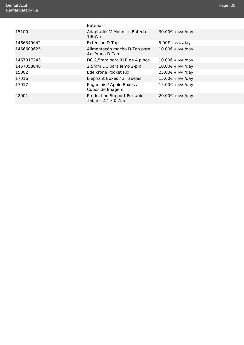<span id="page-20-0"></span>

|            | <b>Baterias</b>                                                   |                           |
|------------|-------------------------------------------------------------------|---------------------------|
| 15100      | Adaptador V-Mount + Bateria<br>190Wh                              | 30.00€ + IVA /day         |
| 1466549042 | Extensão D-Tap                                                    | $5.00\epsilon$ + IVA /day |
| 1466609625 | Alimentação macho D-Tap para<br>4x fêmea D-Tap                    | $10.00€ + IVA$ /day       |
| 1467017245 | DC 2,5mm para XLR de 4 pinos                                      | 10.00€ + IVA /day         |
| 1467058048 | 2,5mm DC para lemo 2-pin                                          | 10.00€ + IVA /day         |
| 15002      | Edelkrone Pocket Rig                                              | 25.00€ + IVA /day         |
| 17016      | Elephant Boxes / 3 Tabelas                                        | 15.00€ + IVA /day         |
| 17017      | Paganinis / Apple Boxes /<br>Cubos de Imagem                      | 15.00€ + IVA /day         |
| 42001      | <b>Production Support Portable</b><br>Table - $2.4 \times 0.75$ m | $20.00€ + IVA$ /day       |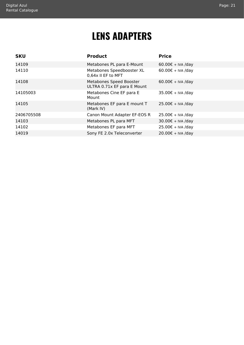### **LENS ADAPTERS**

<span id="page-21-1"></span><span id="page-21-0"></span>

| <b>Product</b>                                         | <b>Price</b>        |
|--------------------------------------------------------|---------------------|
| Metabones PL para E-Mount                              | $60.00€ + IVA$ /day |
| Metabones Speedbooster XL<br>0,64x II EF to MFT        | $60.00€ + IVA$ /day |
| Metabones Speed Booster<br>ULTRA 0.71x EF para E Mount | $60.00€ + IVA$ /day |
| Metabones Cine EF para E<br>Mount                      | 35.00€ + IVA /day   |
| Metabones EF para E mount T<br>(Mark IV)               | 25.00€ + IVA /day   |
| Canon Mount Adapter EF-EOS R                           | $25.00€ + IVA$ /day |
| Metabones PL para MFT                                  | $30.00€ + IVA$ /day |
| Metabones EF para MFT                                  | $25.00€ + IVA$ /day |
| Sony FE 2.0x Teleconverter                             | $20.00€ + IVA$ /day |
|                                                        |                     |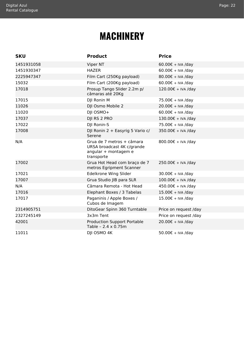#### Page: 22

### **MACHINERY**

<span id="page-22-1"></span><span id="page-22-0"></span>

| <b>SKU</b> | <b>Product</b>                                                                                | <b>Price</b>                |
|------------|-----------------------------------------------------------------------------------------------|-----------------------------|
| 1451931058 | Viper NT                                                                                      | $60.00 \epsilon$ + IVA /day |
| 1451930347 | <b>HAZER</b>                                                                                  | $60.00 \epsilon$ + IVA /day |
| 2225947347 | Film Cart (250Kg payload)                                                                     | 80.00€ + IVA /day           |
| 15032      | Film Cart (200Kg payload)                                                                     | $60.00 \epsilon + IVA$ /day |
| 17018      | Prosup Tango Slider 2.2m p/<br>câmaras até 20Kg                                               | 120.00€ + IVA /day          |
| 17015      | DJI Ronin M                                                                                   | 75.00€ + IVA /day           |
| 11026      | DJI Osmo Mobile 2                                                                             | 20.00€ + IVA /day           |
| 11020      | DJI OSMO+                                                                                     | $60.00 \epsilon$ + IVA /day |
| 17037      | DJI RS 2 PRO                                                                                  | 130.00€ + IVA /day          |
| 17022      | DJI Ronin-S                                                                                   | 75.00€ + IVA /day           |
| 17008      | DJI Ronin 2 + Easyrig 5 Vario c/<br>Serene                                                    | 350.00€ + IVA /day          |
| N/A        | Grua de 7 metros + câmara<br>URSA broadcast 4K c/grande<br>angular + montagem e<br>transporte | 800.00€ + IVA /day          |
| 17002      | Grua Hot Head com braço de 7<br>metros Egripment Scanner                                      | 250.00€ + IVA /day          |
| 17021      | Edelkrone Wing Slider                                                                         | $30.00 \epsilon + IVA$ /day |
| 17007      | Grua Studio JIB para SLR                                                                      | 100.00€ + IVA /day          |
| N/A        | Câmara Remota - Hot Head                                                                      | 450.00€ + IVA /day          |
| 17016      | Elephant Boxes / 3 Tabelas                                                                    | 15.00€ + IVA /day           |
| 17017      | Paganinis / Apple Boxes /<br>Cubos de Imagem                                                  | 15.00€ + IVA /day           |
| 2314905751 | DitoGear Spinn 360 Turntable                                                                  | Price on request /day       |
| 2327245149 | 3x3m Tent                                                                                     | Price on request /day       |
| 42001      | <b>Production Support Portable</b><br>Table - 2.4 x 0.75m                                     | 20.00€ + IVA /day           |
| 11011      | DJI OSMO 4K                                                                                   | 50.00€ + IVA /day           |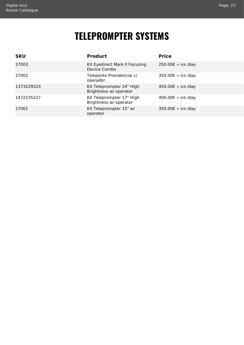### **TELEPROMPTER SYSTEMS**

<span id="page-23-1"></span><span id="page-23-0"></span>

| <b>SKU</b> | <b>Product</b>                                      | <b>Price</b>       |
|------------|-----------------------------------------------------|--------------------|
| 27003      | Kit Eyedirect Mark II Focusing<br>Device Combo      | 250.00€ + IVA /day |
| 27002      | Teleponto Presidencial c/<br>operador               | 350.00€ + IVA /day |
| 1373229323 | Kit Teleprompter 24" High<br>Brightness w/ operator | 450.00€ + IVA /day |
| 1472235227 | Kit Teleprompter 17" High<br>Brightness w/ operator | 400.00€ + IVA /day |
| 27001      | Kit Teleprompter 15" w/<br>operator                 | 350.00€ + IVA /day |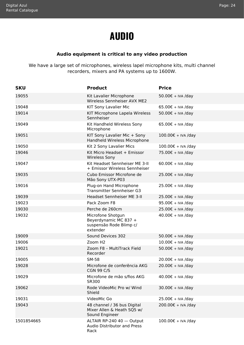### **AUDIO**

#### **Audio equipment is critical to any video production**

<span id="page-24-1"></span><span id="page-24-0"></span>We have a large set of microphones, wireless lapel microphone kits, multi channel recorders, mixers and PA systems up to 1600W.

| <b>SKU</b> | <b>Product</b>                                                                    | <b>Price</b>        |
|------------|-----------------------------------------------------------------------------------|---------------------|
| 19055      | Kit Lavalier Microphone<br>Wireless Sennheiser AVX ME2                            | 50.00€ + IVA /day   |
| 19048      | KIT Sony Lavalier Mic                                                             | $65.00€ + IVA$ /day |
| 19014      | KIT Microphone Lapela Wireless<br>Sennheiser                                      | 50.00€ + IVA /day   |
| 19049      | Kit Handheld Wireless Sony<br>Microphone                                          | $65.00€ + IVA$ /day |
| 19051      | KIT Sony Lavalier Mic + Sony<br>Handheld Wireless Microphone                      | 100.00€ + IVA /day  |
| 19050      | Kit 2 Sony Lavalier Mics                                                          | 100.00€ + IVA /day  |
| 19046      | Kit Micro Headset + Emissor<br><b>Wireless Sony</b>                               | 75.00€ + IVA /day   |
| 19047      | Kit Headset Sennheiser ME 3-II<br>+ Emissor Wireless Sennheiser                   | $60.00€ + IVA$ /day |
| 19035      | Cubo Emissor Microfone de<br>Mão Sony UTX-P03                                     | 25.00€ + IVA /day   |
| 19016      | Plug-on Hand Microphone<br>Transmitter Sennheiser G3                              | 25.00€ + IVA /day   |
| 19039      | Headset Sennheiser ME 3-II                                                        | 25.00€ + IVA /day   |
| 19023      | Pack Zoom F8                                                                      | 95.00€ + IVA /day   |
| 19030      | Perche de 260cm                                                                   | 25.00€ + IVA /day   |
| 19032      | Microfone Shotgun<br>Beyerdynamic MC 837 +<br>suspensão Rode Blimp c/<br>extender | 40.00€ + IVA /day   |
| 19009      | Sound Devices 302                                                                 | 50.00€ + IVA /day   |
| 19006      | Zoom H <sub>2</sub>                                                               | 10.00€ + IVA /day   |
| 19021      | Zoom F8 - MultiTrack Field<br>Recorder                                            | 50.00€ + IVA /day   |
| 19005      | <b>SM-58</b>                                                                      | 20.00€ + IVA /day   |
| 19028      | Microfone de conferência AKG<br><b>CGN 99 C/S</b>                                 | 20.00€ + IVA /day   |
| 19029      | Microfone de mão s/fios AKG<br>SR300                                              | 40.00€ + IVA /day   |
| 19062      | Rode VideoMic Pro w/ Wind<br>Shield                                               | $30.00€ + IVA$ /day |
| 19031      | VideoMic Go                                                                       | 25.00€ + IVA /day   |
| 19043      | 48 channel / 36 bus Digital<br>Mixer Allen & Heath SQ5 w/<br>Sound Engineer       | 200.00€ + IVA /day  |
| 1501854665 | ALTAIR RP-240 40 - Output<br><b>Audio Distributor and Press</b><br>Rack           | 100.00€ + IVA /day  |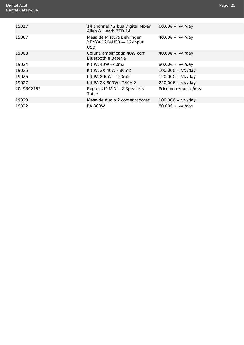<span id="page-25-0"></span>

| 19017      | 14 channel / 2 bus Digital Mixer<br>Allen & Heath ZED 14      | $60.00€ + IVA$ /day   |
|------------|---------------------------------------------------------------|-----------------------|
| 19067      | Mesa de Mistura Behringer<br>XENYX 1204USB - 12-Input<br>USB. | 40.00€ + IVA /day     |
| 19008      | Coluna amplificada 40W com<br>Bluetooth e Bateria             | $40.00€ + IVA$ /day   |
| 19024      | Kit PA 40W - 40m2                                             | 80.00€ + IVA /day     |
| 19025      | Kit PA 2X 40W - 80m2                                          | $100.00€ + IVA$ /day  |
| 19026      | Kit PA 800W - 120m2                                           | $120.00€ + IVA$ /day  |
| 19027      | Kit PA 2X 800W - 240m2                                        | 240.00€ + IVA /day    |
| 2049802483 | Express IP MINI - 2 Speakers<br>Table                         | Price on request /day |
| 19020      | Mesa de áudio 2 comentadores                                  | $100.00€ + IVA$ /day  |
| 19022      | <b>PA 800W</b>                                                | $80.00€ + IVA$ /day   |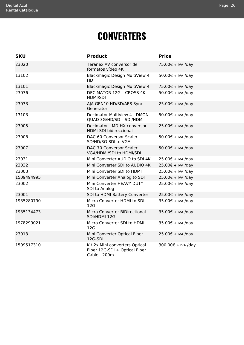### **CONVERTERS**

<span id="page-26-1"></span><span id="page-26-0"></span>

| <b>SKU</b> | <b>Product</b>                                                                  | <b>Price</b>                |
|------------|---------------------------------------------------------------------------------|-----------------------------|
| 23020      | Teranex AV conversor de<br>formatos vídeo 4K                                    | 75.00€ + IVA /day           |
| 13102      | Blackmagic Design MultiView 4<br>HD.                                            | 50.00€ + IVA /day           |
| 13101      | Blackmagic Design MultiView 4                                                   | 75.00€ + IVA /day           |
| 23036      | <b>DECIMATOR 12G - CROSS 4K</b><br><b>HDMI/SDI</b>                              | $50.00 \epsilon + IVA$ /day |
| 23033      | AJA GEN10 HD/SD/AES Sync<br>Generator                                           | 25.00€ + IVA /day           |
| 13103      | Decimator Multiview 4 - DMON-<br>QUAD 3G/HD/SD - SDI/HDMI                       | 50.00€ + IVA /day           |
| 23005      | Decimator - MD-HX conversor<br><b>HDMI-SDI bidireccional</b>                    | 25.00€ + IVA /day           |
| 23008      | DAC-60 Conversor Scaler<br>SD/HD/3G-SDI to VGA                                  | 50.00€ + IVA /day           |
| 23007      | DAC-70 Conversor Scaler<br>VGA/HDMI/SDI to HDMI/SDI                             | 50.00€ + IVA /day           |
| 23031      | Mini Converter AUDIO to SDI 4K                                                  | 25.00€ + IVA /day           |
| 23032      | Mini Converter SDI to AUDIO 4K                                                  | 25.00€ + IVA /day           |
| 23003      | Mini Converter SDI to HDMI                                                      | 25.00€ + IVA /day           |
| 1509494995 | Mini Converter Analog to SDI                                                    | 25.00€ + IVA /day           |
| 23002      | Mini Converter HEAVY DUTY<br>SDI to Analog                                      | 25.00€ + IVA /day           |
| 23001      | SDI to HDMI Battery Converter                                                   | 25.00€ + IVA /day           |
| 1935280790 | Micro Converter HDMI to SDI<br>12G                                              | 35.00€ + IVA /day           |
| 1935134473 | Micro Converter BiDirectional<br>SDI/HDMI 12G                                   | 35.00€ + IVA /day           |
| 1978299021 | Micro Converter SDI to HDMI<br>12G                                              | 35.00€ + IVA /day           |
| 23013      | Mini Converter Optical Fiber<br>12G-SDI                                         | 25.00€ + IVA /day           |
| 1509517310 | Kit 2x Mini converters Optical<br>Fiber 12G-SDI + Optical Fiber<br>Cable - 200m | 300.00€ + IVA /day          |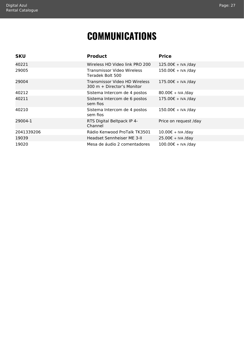### **COMMUNICATIONS**

<span id="page-27-1"></span><span id="page-27-0"></span>

| <b>SKU</b> | <b>Product</b>                                                        | <b>Price</b>          |
|------------|-----------------------------------------------------------------------|-----------------------|
| 40221      | Wireless HD Video link PRO 200                                        | 125.00€ + IVA /day    |
| 29005      | Transmissor Video Wireless<br>Teradek Bolt 500                        | $150.00€ + IVA$ /day  |
| 29004      | Transmissor Video HD Wireless<br>$300 \text{ m} +$ Director's Monitor | $175.00€ + IVA$ /day  |
| 40212      | Sistema Intercom de 4 postos                                          | $80.00€ + IVA$ /day   |
| 40211      | Sistema Intercom de 6 postos<br>sem fios                              | $175.00€ + IVA$ /day  |
| 40210      | Sistema Intercom de 4 postos<br>sem fios                              | 150.00€ + IVA /day    |
| 29004-1    | RTS Digital Beltpack IP 4-<br>Channel                                 | Price on request /day |
| 2041339206 | Rádio Kenwood ProTalk TK3501                                          | 10.00€ + IVA /day     |
| 19039      | Headset Sennheiser ME 3-II                                            | $25.00€ + IVA$ /day   |
| 19020      | Mesa de áudio 2 comentadores                                          | 100.00€ + IVA /day    |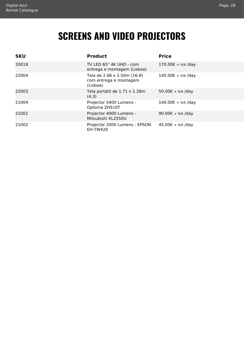### **SCREENS AND VIDEO PROJECTORS**

<span id="page-28-1"></span><span id="page-28-0"></span>

| <b>SKU</b> | <b>Product</b>                                                    | <b>Price</b>         |
|------------|-------------------------------------------------------------------|----------------------|
| 20018      | TV LED 65" 4K UHD - com<br>entrega e montagem (Lisboa)            | $170.00€ + IVA$ /day |
| 22004      | Tela de 2.66 x 1.50m (16:9)<br>com entrega e montagem<br>(Lisboa) | 140.00€ + IVA /day   |
| 22003      | Tela portátil de 1.71 x 1.28m<br>(4.3)                            | 50.00€ + IVA /day    |
| 21004      | Projector 5400 Lumens -<br>Optoma ZH510T                          | $140.00€ + IVA$ /day |
| 21001      | Projector 4000 Lumens -<br>Mitsubishi XL2550U                     | $90.00€ + IVA$ /day  |
| 21002      | Projector 2000 Lumens - EPSON<br><b>EH-TW420</b>                  | 45.00€ + IVA /day    |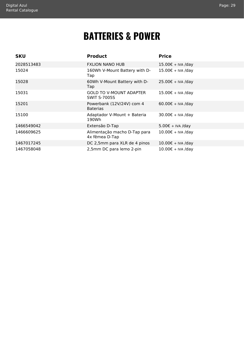### **BATTERIES & POWER**

<span id="page-29-1"></span><span id="page-29-0"></span>

| <b>SKU</b> | <b>Product</b>                                        | <b>Price</b>                |
|------------|-------------------------------------------------------|-----------------------------|
| 2028513483 | <b>FXLION NANO HUB</b>                                | 15.00€ + IVA /day           |
| 15024      | 160Wh V-Mount Battery with D-<br>Tap                  | $15.00€ + IVA$ /day         |
| 15028      | 60Wh V-Mount Battery with D-<br>Tap                   | 25.00€ + IVA /day           |
| 15031      | <b>GOLD TO V-MOUNT ADAPTER</b><br><b>SWIT S-7005S</b> | 15.00€ + IVA /day           |
| 15201      | Powerbank (12V/24V) com 4<br><b>Baterias</b>          | $60.00€ + IVA$ /day         |
| 15100      | Adaptador V-Mount + Bateria<br>190Wh                  | 30.00€ + IVA /day           |
| 1466549042 | Extensão D-Tap                                        | $5.00 \epsilon$ + IVA /day  |
| 1466609625 | Alimentação macho D-Tap para<br>4x fêmea D-Tap        | 10.00€ + IVA /day           |
| 1467017245 | DC 2,5mm para XLR de 4 pinos                          | $10.00 \text{E}$ + IVA /day |
| 1467058048 | 2,5mm DC para lemo 2-pin                              | $10.00 \text{E}$ + IVA /day |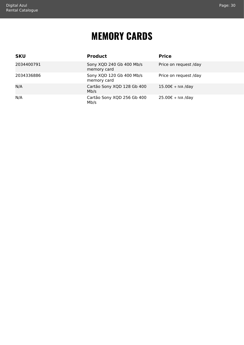### **MEMORY CARDS**

<span id="page-30-1"></span><span id="page-30-0"></span>

| <b>SKU</b> | <b>Product</b>                          | <b>Price</b>          |
|------------|-----------------------------------------|-----------------------|
| 2034400791 | Sony XQD 240 Gb 400 Mb/s<br>memory card | Price on request /day |
| 2034336886 | Sony XQD 120 Gb 400 Mb/s<br>memory card | Price on request /day |
| N/A        | Cartão Sony XQD 128 Gb 400<br>Mb/s      | $15.00€ + IVA$ /day   |
| N/A        | Cartão Sony XQD 256 Gb 400<br>Mb/s      | $25.00€ + IVA$ /day   |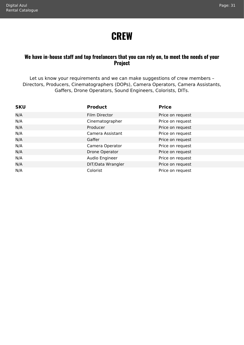### **CREW**

#### <span id="page-31-1"></span><span id="page-31-0"></span>**We have in-house staff and top freelancers that you can rely on, to meet the needs of your Project**

Let us know your requirements and we can make suggestions of crew members – Directors, Producers, Cinematographers (DOPs), Camera Operators, Camera Assistants, Gaffers, Drone Operators, Sound Engineers, Colorists, DITs.

| <b>SKU</b> | <b>Product</b>    | <b>Price</b>     |
|------------|-------------------|------------------|
| N/A        | Film Director     | Price on request |
| N/A        | Cinematographer   | Price on request |
| N/A        | Producer          | Price on request |
| N/A        | Camera Assistant  | Price on request |
| N/A        | Gaffer            | Price on request |
| N/A        | Camera Operator   | Price on request |
| N/A        | Drone Operator    | Price on request |
| N/A        | Audio Engineer    | Price on request |
| N/A        | DIT/Data Wrangler | Price on request |
| N/A        | Colorist          | Price on request |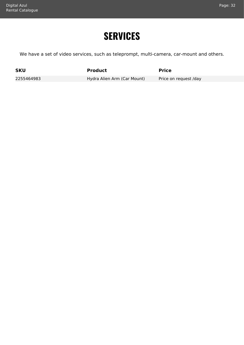### **SERVICES**

<span id="page-32-1"></span><span id="page-32-0"></span>We have a set of video services, such as teleprompt, multi-camera, car-mount and others.

**SKU Product Product Product Price** 

2255464983 Hydra Alien Arm (Car Mount) Price on request /day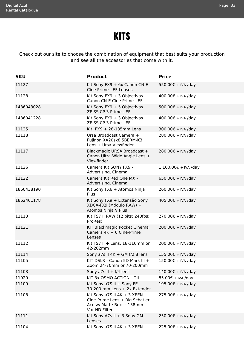### **KITS**

<span id="page-33-1"></span><span id="page-33-0"></span>Check out our site to choose the combination of equipment that best suits your production and see all the accessories that come with it.

| <b>SKU</b> | <b>Product</b>                                                                                               | <b>Price</b>           |
|------------|--------------------------------------------------------------------------------------------------------------|------------------------|
| 11127      | Kit Sony FX9 + 6x Canon CN-E<br>Cine Prime - EF Lenses                                                       | 550.00€ + IVA /day     |
| 11128      | Kit Sony $FX9 + 3$ Objectivas<br>Canon CN-E Cine Prime - EF                                                  | 400.00€ + IVA /day     |
| 1486043028 | Kit Sony $FX9 + 5$ Objectivas<br>ZEISS CP.3 Prime - EF                                                       | 500.00€ + IVA /day     |
| 1486041228 | Kit Sony FX9 + 3 Objectivas<br>ZEISS CP.3 Prime - EF                                                         | 400.00€ + IVA /day     |
| 11125      | Kit: $FX9 + 28-135$ mm Lens                                                                                  | 300.00€ + IVA /day     |
| 11118      | Ursa Broadcast Camera +<br>Fujinon XA20sx8.5BERM-K3<br>Lens + Ursa Viewfinder                                | 280.00€ + IVA /day     |
| 11117      | Blackmagic URSA Broadcast +<br>Canon Ultra-Wide Angle Lens +<br>Viewfinder                                   | 280.00€ + IVA /day     |
| 11126      | Camera Kit SONY FX9 -<br>Advertising, Cinema                                                                 | $1,100.00€ + IVA$ /day |
| 11122      | Camera Kit Red One MX -<br>Advertising, Cinema                                                               | 650.00€ + IVA /day     |
| 1860438190 | Kit Sony FX6 + Atomos Ninja<br>Plus                                                                          | 260.00€ + IVA /day     |
| 1862401178 | Kit Sony FX9 + Extensão Sony<br>XDCA-FX9 (Módulo RAW) +<br>Atomos Ninja V Plus                               | 405.00€ + IVA /day     |
| 11113      | Kit FS7 II RAW (12 bits; 240fps;<br>ProRes)                                                                  | 270.00€ + IVA /day     |
| 11121      | KIT Blackmagic Pocket Cinema<br>Camera 4K + 6 Cine-Prime<br>Lenses                                           | 200.00€ + IVA /day     |
| 11112      | Kit FS7 II + Lens: 18-110mm or<br>42-202mm                                                                   | 200.00€ + IVA /day     |
| 11114      | Sony a7s II $4K + GMf/2.8$ lens                                                                              | 155.00€ + IVA /day     |
| 11105      | KIT DSLR - Canon 5D Mark III +<br>Zoom 24-70mm or 70-200mm                                                   | 150.00€ + IVA /day     |
| 11103      | Sony a7s $II + f/4$ lens                                                                                     | 140.00€ + IVA /day     |
| 11029      | KIT 3x OSMO ACTION - DJI                                                                                     | 85.00€ + IVA /day      |
| 11109      | Kit Sony a7S II + Sony FE<br>70-200 mm Lens + 2x Extender                                                    | 195.00€ + IVA /day     |
| 11108      | Kit Sony a7S II $4K + 3$ XEEN<br>Cine-Prime Lens + Rig Schatler<br>Ace w/ Matte Box + 138mm<br>Var ND Filter | 275.00€ + IVA /day     |
| 11111      | Kit Sony A7s II + 3 Sony GM<br>Lenses                                                                        | 250.00€ + IVA /day     |
| 11104      | Kit Sony a7S II $4K + 3$ XEEN                                                                                | 225.00€ + IVA /day     |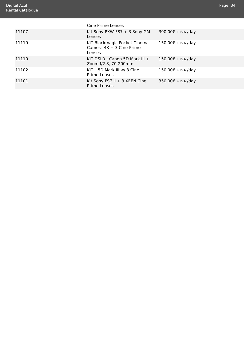<span id="page-34-0"></span>

|       | Cine Prime Lenses                                                    |                    |
|-------|----------------------------------------------------------------------|--------------------|
| 11107 | Kit Sony PXW-FS7 + 3 Sony GM<br>Lenses                               | 390.00€ + IVA /day |
| 11119 | KIT Blackmagic Pocket Cinema<br>Camera $4K + 3$ Cine-Prime<br>Lenses | 150.00€ + IVA /day |
| 11110 | KIT DSLR - Canon 5D Mark III $+$<br>Zoom f/2.8, 70-200mm             | 150.00€ + IVA /day |
| 11102 | KIT - 5D Mark III w/ 3 Cine-<br><b>Prime Lenses</b>                  | 150.00€ + IVA /day |
| 11101 | Kit Sony FS7 II + 3 XEEN Cine<br><b>Prime Lenses</b>                 | 350.00€ + IVA /day |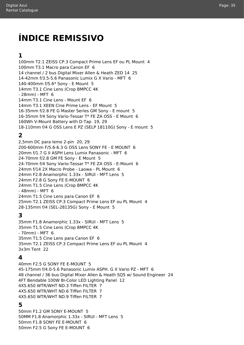### **ÍNDICE REMISSIVO**

#### **1**

100mm T2.1 ZEISS CP.3 Compact Prime Lens EF ou PL Mount [4](#page-4-1) 100mm T3.1 Macro para Canon EF [6](#page-6-0) 14 channel / 2 bus Digital Mixer Allen & Heath ZED 14 [25](#page-25-0) 14-42mm f/3.5-5.6 Panasonic Lumix G X Vario - MFT [6](#page-6-0) 140-400mm f/5.6\* Sony - E Mount [5](#page-5-0) 14mm T3.1 Cine Lens (Crop BMPCC 4K - 28mm) - MFT [6](#page-6-0) 14mm T3.1 Cine Lens - Mount EF [6](#page-6-0) 14mm T3.1 XEEN Cine Prime Lens - EF Mount [5](#page-5-0) 16-35mm f/2.8 FE G Master Series GM Sony - E mount [5](#page-5-0) 16-35mm f/4 Sony Vario-Tessar T\* FE ZA OSS - E Mount [6](#page-6-0) 160Wh V-Mount Battery with D-Tap [19](#page-19-1), [29](#page-29-1) 18-110mm f/4 G OSS Lens E PZ (SELP 18110G) Sony - E mount [5](#page-5-0)

#### **2**

2,5mm DC para lemo 2-pin [20,](#page-20-0) [29](#page-29-1) 200-600mm F/5.6-6.3 G OSS Lens SONY FE - E MOUNT [6](#page-6-0) 20mm f/1.7 G II ASPH Lens Lumix Panasonic - MFT [6](#page-6-0) 24-70mm f/2.8 GM FE Sony - E Mount [5](#page-5-0) 24-70mm f/4 Sony Vario-Tessar T\* FE ZA OSS - E-Mount [6](#page-6-0) 24mm f/14 2X Macro Probe - Laowa - PL Mount [6](#page-6-0) 24mm F2.8 Anamorphic 1.33x - SIRUI - MFT Lens [5](#page-5-0) 24mm F2.8 G Sony FE E-MOUNT [6](#page-6-0) 24mm T1.5 Cine Lens (Crop BMPCC 4K - 48mm) - MFT [6](#page-6-0) 24mm T1.5 Cine Lens para Canon EF [6](#page-6-0) 25mm T2.1 ZEISS CP.3 Compact Prime Lens EF ou PL Mount [4](#page-4-1) 28-135mm f/4 (SEL-28135G) Sony - E Mount [5](#page-5-0)

#### **3**

35mm F1.8 Anamorphic 1.33x - SIRUI - MFT Lens [5](#page-5-0) 35mm T1.5 Cine Lens (Crop BMPCC 4K - 70mm) - MFT [6](#page-6-0) 35mm T1.5 Cine Lens para Canon EF [6](#page-6-0) 35mm T2.1 ZEISS CP.3 Compact Prime Lens EF ou PL Mount [4](#page-4-1) 3x3m Tent [22](#page-22-1)

#### **4**

40mm F2.5 G SONY FE E-MOUNT [5](#page-5-0) 45-175mm f/4.0-5.6 Panasonic Lumix ASPH. G X Vario PZ - MFT [6](#page-6-0) 48 channel / 36 bus Digital Mixer Allen & Heath SQ5 w/ Sound Engineer [24](#page-24-1) 4FT Bendable 100W Bi-Color LED Lighting Panel [12](#page-12-1) 4X5.650 WTR/WHT ND.3 Tiffen FILTER [7](#page-7-0) 4X5.650 WTR/WHT ND.6 Tiffen FILTER [7](#page-7-0) 4X5.650 WTR/WHT ND.9 Tiffen FILTER [7](#page-7-0)

#### **5**

50mm F1.2 GM SONY E-MOUNT [5](#page-5-0) 50MM F1.8 Anamorphic 1.33x - SIRUI - MFT Lens [5](#page-5-0) 50mm F1.8 SONY FE E-MOUNT [6](#page-6-0) 50mm F2.5 G Sony FE E-MOUNT [6](#page-6-0)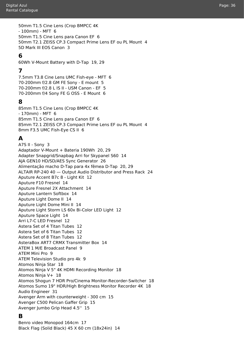50mm T1.5 Cine Lens (Crop BMPCC 4K - 100mm) - MFT [6](#page-6-0) 50mm T1.5 Cine Lens para Canon EF [6](#page-6-0) 50mm T2.1 ZEISS CP.3 Compact Prime Lens EF ou PL Mount [4](#page-4-1) 5D Mark III EOS Canon [3](#page-3-0)

#### **6**

60Wh V-Mount Battery with D-Tap [19,](#page-19-1) [29](#page-29-1)

#### **7**

7.5mm T3.8 Cine Lens UMC Fish-eye - MFT [6](#page-6-0) 70-200mm f/2.8 GM FE Sony - E mount [5](#page-5-0) 70-200mm f/2.8 L IS II - USM Canon - EF [5](#page-5-0) 70-200mm f/4 Sony FE G OSS - E Mount [6](#page-6-0)

#### **8**

85mm T1.5 Cine Lens (Crop BMPCC 4K - 170mm) - MFT [6](#page-6-0) 85mm T1.5 Cine Lens para Canon EF [6](#page-6-0) 85mm T2.1 ZEISS CP.3 Compact Prime Lens EF ou PL Mount [4](#page-4-1) 8mm F3.5 UMC Fish-Eye CS II [6](#page-6-0)

#### **A**

A7S II - Sony [3](#page-3-0) Adaptador V-Mount + Bateria 190Wh [20,](#page-20-0) [29](#page-29-1) Adapter Snapgrid/Snapbag Arri for Skypanel S60 [14](#page-14-1) AJA GEN10 HD/SD/AES Sync Generator [26](#page-26-1) Alimentação macho D-Tap para 4x fêmea D-Tap [20,](#page-20-0) [29](#page-29-1) ALTAIR RP-240 40 — Output Audio Distributor and Press Rack [24](#page-24-1) Aputure Accent B7c 8 - Light Kit [12](#page-12-1) Aputure F10 Fresnel [14](#page-14-1) Aputure Fresnel 2X Attachment [14](#page-14-1) Aputure Lantern Softbox [14](#page-14-1) Aputure Light Dome II [14](#page-14-1) Aputure Light Dome Mini II [14](#page-14-1) Aputure Light Storm LS 60x Bi-Color LED Light [12](#page-12-1) Aputure Space Light [14](#page-14-1) Arri L7-C LED Fresnel [12](#page-12-1) Astera Set of 4 Titan Tubes [12](#page-12-1) Astera Set of 6 Titan Tubes [12](#page-12-1) Astera Set of 8 Titan Tubes [12](#page-12-1) AsteraBox ART7 CRMX Transmitter Box [14](#page-14-1) ATEM 1 M/E Broadcast Panel [9](#page-9-1) ATEM Mini Pro [9](#page-9-1) ATEM Television Studio pro 4k [9](#page-9-1) Atomos Ninja Star [18](#page-18-1) Atomos Ninja V 5" 4K HDMI Recording Monitor [18](#page-18-1) Atomos Ninja V+ [18](#page-18-1) Atomos Shogun 7 HDR Pro/Cinema Monitor-Recorder-Switcher [18](#page-18-1) Atomos Sumo 19" HDR/High Brightness Monitor Recorder 4K [18](#page-18-1) Audio Engineer [31](#page-31-1) Avenger Arm with counterweight - 300 cm [15](#page-15-0) Avenger C500 Pelican Gaffer Grip [15](#page-15-0) Avenger Jumbo Grip Head 4.5'' [15](#page-15-0)

#### **B**

Benro video Monopod 164cm [17](#page-17-1) Black Flag (Solid Black) 45 X 60 cm (18x24in) [14](#page-14-1)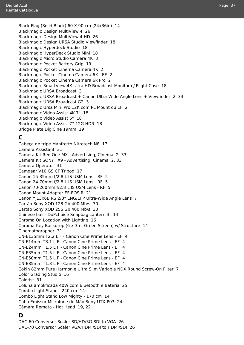Black Flag (Solid Black) 60 X 90 cm (24x36in) [14](#page-14-1) Blackmagic Design MultiView 4 [26](#page-26-1) Blackmagic Design MultiView 4 HD [26](#page-26-1) Blackmagic Design URSA Studio Viewfinder [18](#page-18-1) Blackmagic Hyperdeck Studio [18](#page-18-1) Blackmagic HyperDeck Studio Mini [18](#page-18-1) Blackmagic Micro Studio Camera 4K [3](#page-3-0) Blackmagic Pocket Battery Grip [19](#page-19-1) Blackmagic Pocket Cinema Camera 4K [2](#page-2-1) Blackmagic Pocket Cinema Camera 6K - EF [2](#page-2-1) Blackmagic Pocket Cinema Camera 6k Pro [2](#page-2-1) Blackmagic SmartView 4K Ultra HD Broadcast Monitor c/ Flight Case [18](#page-18-1) Blackmagic URSA Broadcast [3](#page-3-0) Blackmagic URSA Broadcast + Canon Ultra-Wide Angle Lens + Viewfinder [2](#page-2-1), [33](#page-33-1) Blackmagic URSA Broadcast G2 [3](#page-3-0) Blackmagic Ursa Mini Pro 12K com PL Mount ou EF [2](#page-2-1) Blackmagic Video Assist 4K 7" [18](#page-18-1) Blackmagic Video Assist 5" [18](#page-18-1) Blackmagic Video Assist 7" 12G HDR [18](#page-18-1) Bridge Plate DigiCine 19mm [19](#page-19-1)

#### **C**

Cabeça de tripé Manfrotto Nitrotech N8 [17](#page-17-1) Camera Assistant [31](#page-31-1) Camera Kit Red One MX - Advertising, Cinema [2](#page-2-1), [33](#page-33-1) Camera Kit SONY FX9 - Advertising, Cinema [2,](#page-2-1) [33](#page-33-1) Camera Operator [31](#page-31-1) Camgear V10 GS CF Tripod [17](#page-17-1) Canon 15-35mm f/2.8 L IS USM Lens - RF [5](#page-5-0) Canon 24-70mm f/2.8 L IS USM Lens - RF [5](#page-5-0) Canon 70-200mm f/2.8 L IS USM Lens - RF [5](#page-5-0) Canon Mount Adapter EF-EOS R [21](#page-21-1) Canon YJ13x6BIRS 2/3" ENG/EFP Ultra-Wide Angle Lens [7](#page-7-0) Cartão Sony XQD 128 Gb 400 Mb/s [30](#page-30-1) Cartão Sony XQD 256 Gb 400 Mb/s [30](#page-30-1) Chinese ball - DoPchoice Snapbag Lantern 3' [14](#page-14-1) Chroma On Location with Lighting [16](#page-16-1) Chroma-Key Backdrop (6 x 3m, Green Screen) w/ Structure [14](#page-14-1) Cinematographer [31](#page-31-1) CN-E135mm T2.2 L F - Canon Cine Prime Lens - EF [4](#page-4-1) CN-E14mm T3.1 L F - Canon Cine Prime Lens - EF [4](#page-4-1) CN-E24mm T1.5 L F - Canon Cine Prime Lens - EF [4](#page-4-1) CN-E35mm T1.5 L F - Canon Cine Prime Lens - EF [4](#page-4-1) CN-E50mm T1.5 L F - Canon Cine Prime Lens - EF [4](#page-4-1) CN-E85mm T1.3 L F - Canon Cine Prime Lens - EF [4](#page-4-1) Cokin 82mm Pure Harmonie Ultra Slim Variable NDX Round Screw-On Filter [7](#page-7-0) Color Grading Studio [16](#page-16-1) Colorist [31](#page-31-1) Coluna amplificada 40W com Bluetooth e Bateria [25](#page-25-0) Combo Light Stand - 240 cm [14](#page-14-1) Combo Light Stand Low Mighty - 170 cm [14](#page-14-1) Cubo Emissor Microfone de Mão Sony UTX-P03 [24](#page-24-1) Câmara Remota - Hot Head [19](#page-19-1), [22](#page-22-1)

#### **D**

DAC-60 Conversor Scaler SD/HD/3G-SDI to VGA [26](#page-26-1) DAC-70 Conversor Scaler VGA/HDMI/SDI to HDMI/SDI [26](#page-26-1)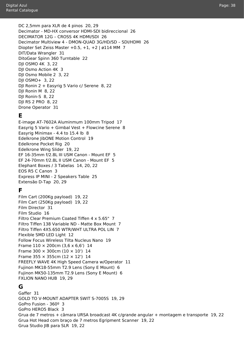DC 2,5mm para XLR de 4 pinos [20,](#page-20-0) [29](#page-29-1) Decimator - MD-HX conversor HDMI-SDI bidireccional [26](#page-26-1) DECIMATOR 12G – CROSS 4K HDMI/SDI [26](#page-26-1) Decimator Multiview 4 - DMON-QUAD 3G/HD/SD – SDI/HDMI [26](#page-26-1) Diopter Set Zeiss Master  $+0.5$ ,  $+1$ ,  $+2$  | ø114 MM [7](#page-7-0) DIT/Data Wrangler [31](#page-31-1) DitoGear Spinn 360 Turntable [22](#page-22-1) DJI OSMO 4K [3](#page-3-0), [22](#page-22-1) DJI Osmo Action 4K [3](#page-3-0) DJI Osmo Mobile 2 [3,](#page-3-0) [22](#page-22-1) DJI OSMO+ [3,](#page-3-0) [22](#page-22-1) DJI Ronin 2 + Easyrig 5 Vario c/ Serene [8](#page-8-1), [22](#page-22-1) DJI Ronin M [8,](#page-8-1) [22](#page-22-1) DJI Ronin-S [8,](#page-8-1) [22](#page-22-1)

#### **E**

DJI RS 2 PRO [8](#page-8-1), [22](#page-22-1) Drone Operator [31](#page-31-1)

E-image AT-7602A Aluminmum 100mm Tripod [17](#page-17-1) Easyrig 5 Vario + Gimbal Vest + Flowcine Serene [8](#page-8-1) Easyrig Minimax - 4.4 to 15.4 lb [8](#page-8-1) Edelkrone JibONE Motion Control [19](#page-19-1) Edelkrone Pocket Rig [20](#page-20-0) Edelkrone Wing Slider [19](#page-19-1), [22](#page-22-1) EF 16-35mm f/2.8L III USM Canon - Mount EF [5](#page-5-0) EF 24-70mm f/2.8L II USM Canon - Mount EF [5](#page-5-0) Elephant Boxes / 3 Tabelas [14,](#page-14-1) [20](#page-20-0), [22](#page-22-1) EOS R5 C Canon [3](#page-3-0) Express IP MINI - 2 Speakers Table [25](#page-25-0) Extensão D-Tap [20](#page-20-0), [29](#page-29-1)

#### **F**

Film Cart (200Kg payload) [19](#page-19-1), [22](#page-22-1) Film Cart (250Kg payload) [19](#page-19-1), [22](#page-22-1) Film Director [31](#page-31-1) Film Studio [16](#page-16-1) Filtro Clear Premium Coated Tiffen 4 x 5.65" [7](#page-7-0) Filtro Tiffen 138 Variable ND - Matte Box Mount [7](#page-7-0) Filtro Tiffen 4X5.650 WTR/WHT ULTRA POL LIN [7](#page-7-0) Flexible SMD LED Light [12](#page-12-1) Follow Focus Wireless Tilta Nucleus Nano [19](#page-19-1) Frame  $110 \times 200$ cm  $(3.6 \times 6.6')$  [14](#page-14-1) Frame 300  $\times$  300cm (10  $\times$  10') [14](#page-14-1) Frame 355  $\times$  355cm (12  $\times$  12') [14](#page-14-1) FREEFLY WAVE 4K High Speed Camera w/Operator [11](#page-11-1) Fujinon MK18-55mm T2.9 Lens (Sony E Mount) [6](#page-6-0) Fujinon MK50-135mm T2.9 Lens (Sony E Mount) [6](#page-6-0) FXLION NANO HUB [19](#page-19-1), [29](#page-29-1)

#### **G**

Gaffer [31](#page-31-1) GOLD TO V-MOUNT ADAPTER SWIT S-7005S [19,](#page-19-1) [29](#page-29-1) GoPro Fusion - 360º [3](#page-3-0) GoPro HERO5 Black [3](#page-3-0) Grua de 7 metros + câmara URSA broadcast 4K c/grande angular + montagem e transporte [19](#page-19-1), [22](#page-22-1) Grua Hot Head com braço de 7 metros Egripment Scanner [19](#page-19-1), [22](#page-22-1) Grua Studio JIB para SLR [19](#page-19-1), [22](#page-22-1)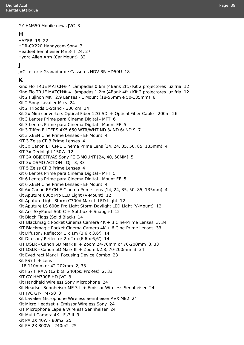GY-HM650 Mobile news JVC [3](#page-3-0)

#### **H**

HAZER [19,](#page-19-1) [22](#page-22-1) HDR-CX220 Handycam Sony [3](#page-3-0) Headset Sennheiser ME 3-II [24,](#page-24-1) [27](#page-27-1) Hydra Alien Arm (Car Mount) [32](#page-32-1)

#### **J**

JVC Leitor e Gravador de Cassetes HDV BR-HD50U [18](#page-18-1)

#### **K**

Kino Flo TRUE MATCH® 4 Lâmpadas 0,6m (4Bank 2ft.) Kit 2 projectores luz fria [12](#page-12-1) Kino Flo TRUE MATCH® 4 Lâmpadas 1,2m (4Bank 4ft.) Kit 2 projectores luz fria [12](#page-12-1) Kit 2 Fujinon MK T2.9 Lenses - E Mount (18-55mm e 50-135mm) [6](#page-6-0) Kit 2 Sony Lavalier Mics [24](#page-24-1) Kit 2 Tripods C-Stand - 300 cm [14](#page-14-1) Kit 2x Mini converters Optical Fiber 12G-SDI + Optical Fiber Cable - 200m [26](#page-26-1) Kit 3 Lentes Prime para Cinema Digital - MFT [6](#page-6-0) Kit 3 Lentes Prime para Cinema Digital - Mount EF [5](#page-5-0) Kit 3 Tiffen FILTERS 4X5.650 WTR/WHT ND.3/ ND.6/ ND.9 [7](#page-7-0) Kit 3 XEEN Cine Prime Lenses - EF Mount [4](#page-4-1) KIT 3 Zeiss CP.3 Prime Lenses [4](#page-4-1) Kit 3x Canon EF CN-E Cinema Prime Lens (14, 24, 35, 50, 85, 135mm) [4](#page-4-1) KIT 3x Dedolight 150W [12](#page-12-1) KIT 3X OBJECTIVAS Sony FE E-MOUNT [24, 40, 50MM] [5](#page-5-0) KIT 3x OSMO ACTION - DII [3,](#page-3-0) [33](#page-33-1) KIT 5 Zeiss CP.3 Prime Lenses [4](#page-4-1) Kit 6 Lentes Prime para Cinema Digital - MFT [5](#page-5-0) Kit 6 Lentes Prime para Cinema Digital - Mount EF [5](#page-5-0) Kit 6 XEEN Cine Prime Lenses - EF Mount [4](#page-4-1) Kit 6x Canon EF CN-E Cinema Prime Lens (14, 24, 35, 50, 85, 135mm) [4](#page-4-1) Kit Aputure 600c Pro LED Light (V-Mount) [12](#page-12-1) Kit Aputure Light Storm C300d Mark II LED Light [12](#page-12-1) Kit Aputure LS 600d Pro Light Storm Daylight LED Light (V-Mount) [12](#page-12-1) Kit Arri SkyPanel S60-C + Softbox + Snapgrid [12](#page-12-1) Kit Black Flags (Solid Black) [14](#page-14-1) KIT Blackmagic Pocket Cinema Camera 4K + 3 Cine-Prime Lenses [3](#page-3-0), [34](#page-34-0) KIT Blackmagic Pocket Cinema Camera 4K + 6 Cine-Prime Lenses [33](#page-33-1) Kit Difusor / Reflector  $1 \times 1$ m  $(3.6 \times 3.6')$  [14](#page-14-1) Kit Difusor / Reflector 2 x 2m (6,6 x 6,6') [14](#page-14-1) KIT DSLR - Canon 5D Mark III + Zoom 24-70mm or 70-200mm [3,](#page-3-0) [33](#page-33-1) KIT DSLR - Canon 5D Mark III + Zoom f/2.8, 70-200mm [3,](#page-3-0) [34](#page-34-0) Kit Eyedirect Mark II Focusing Device Combo [23](#page-23-1) Kit FS7  $II +$  Lens - 18-110mm or 42-202mm [2,](#page-2-1) [33](#page-33-1) Kit FS7 II RAW (12 bits; 240fps; ProRes) [2,](#page-2-1) [33](#page-33-1) KIT GY-HM700E HD JVC [3](#page-3-0) Kit Handheld Wireless Sony Microphone [24](#page-24-1) Kit Headset Sennheiser ME 3-II + Emissor Wireless Sennheiser [24](#page-24-1) KIT JVC GY-HM750 [3](#page-3-0) Kit Lavalier Microphone Wireless Sennheiser AVX ME2 [24](#page-24-1) Kit Micro Headset + Emissor Wireless Sony [24](#page-24-1) KIT Microphone Lapela Wireless Sennheiser [24](#page-24-1) Kit Multi Camera 4K - Fs7 II [9](#page-9-1) Kit PA 2X 40W - 80m2 [25](#page-25-0) Kit PA 2X 800W - 240m2 [25](#page-25-0)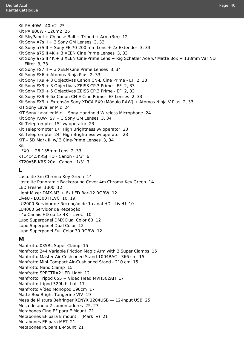Digital Azul Rental Catalogue

Metabones PL para E-Mount [21](#page-21-1)

Page: 40

Kit PA 40W - 40m2 [25](#page-25-0) Kit PA 800W - 120m2 [25](#page-25-0) Kit SkyPanel + Chinese Ball + Tripod + Arm  $(3m)$  [12](#page-12-1) Kit Sony A7s II + 3 Sony GM Lenses  $3, 33$  $3, 33$ Kit Sony a7S II + Sony FE 70-200 mm Lens + 2x Extender [3,](#page-3-0) [33](#page-33-1) Kit Sony a7S II 4K + 3 XEEN Cine Prime Lenses [3,](#page-3-0) [33](#page-33-1) Kit Sony a7S II 4K + 3 XEEN Cine-Prime Lens + Rig Schatler Ace w/ Matte Box + 138mm Var ND Filter [3](#page-3-0), [33](#page-33-1) Kit Sony FS7 II + [3](#page-3-0) XEEN Cine Prime Lenses 3, [34](#page-34-0) Kit Sony FX6 + Atomos Ninja Plus [2,](#page-2-1) [33](#page-33-1) Kit Sony FX9 + 3 Objectivas Canon CN-E Cine Prime - EF [2](#page-2-1), [33](#page-33-1) Kit Sony FX9 + 3 Objectivas ZEISS CP.3 Prime - EF [2,](#page-2-1) [33](#page-33-1) Kit Sony FX9 + 5 Objectivas ZEISS CP.3 Prime - EF [2,](#page-2-1) [33](#page-33-1) Kit Sony FX9 + 6x Canon CN-E Cine Prime - EF Lenses [2,](#page-2-1) [33](#page-33-1) Kit Sony FX9 + Extensão Sony XDCA-FX9 (Módulo RAW) + Atomos Ninja V Plus [2](#page-2-1), [33](#page-33-1) KIT Sony Lavalier Mic [24](#page-24-1) KIT Sony Lavalier Mic + Sony Handheld Wireless Microphone [24](#page-24-1) Kit Sony PXW-FS7 + 3 Sony GM Lenses [3](#page-3-0), [34](#page-34-0) Kit Teleprompter 15" w/ operator [23](#page-23-1) Kit Teleprompter 17" High Brightness w/ operator [23](#page-23-1) Kit Teleprompter 24" High Brightness w/ operator [23](#page-23-1) KIT – 5D Mark III w/ 3 Cine-Prime Lenses [3,](#page-3-0) [34](#page-34-0) Kit - FX9 + 28-135mm Lens [2,](#page-2-1) [33](#page-33-1) KT14x4.5KRSJ HD - Canon - 1/3″ [6](#page-6-0) KT20x5B KRS 20x - Canon - 1/3″ [7](#page-7-0) **L** Lastolite 3m Chroma Key Green [14](#page-14-1) Lastolite Panoramic Background Cover 4m Chroma Key Green [14](#page-14-1) LED Fresnel 1300 [12](#page-12-1) Light Mixer DMX-M3 + 6x LED Bar-12 RGBW [12](#page-12-1) LiveU - LU300 HEVC [10,](#page-10-1) [19](#page-19-1) LU2000 Servidor de Recepção de 1 canal HD - LiveU [10](#page-10-1) LU4000 Servidor de Recepção - 4x Canais HD ou 1x 4K - LiveU [10](#page-10-1) Lupo Superpanel DMX Dual Color 60 [12](#page-12-1) Lupo Superpanel Dual Color [12](#page-12-1) Lupo Superpanel Full Color 30 RGBW [12](#page-12-1) **M** Manfrotto 035RL Super Clamp [15](#page-15-0) Manfrotto 244 Variable Friction Magic Arm with 2 Super Clamps [15](#page-15-0) Manfrotto Master Air-Cushioned Stand 1004BAC - 366 cm [15](#page-15-0) Manfrotto Mini Compact Air-Cushioned Stand - 210 cm [15](#page-15-0) Manfrotto Nano Clamp [15](#page-15-0) Manfrotto SPECTRA2 LED Light [12](#page-12-1) Manfrotto Tripod 055 + Video Head MVH502AH [17](#page-17-1) Manfrotto tripod 529b hi-hat [17](#page-17-1) Manfrotto Vídeo Monopod 190cm [17](#page-17-1) Matte Box Bright Tangerine VIV [19](#page-19-1) Mesa de Mistura Behringer XENYX 1204USB — 12-Input USB [25](#page-25-0) Mesa de áudio 2 comentadores [25](#page-25-0), [27](#page-27-1) Metabones Cine EF para E Mount [21](#page-21-1) Metabones EF para E mount T (Mark IV) [21](#page-21-1) Metabones EF para MFT [21](#page-21-1)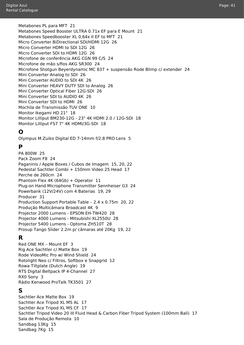Digital Azul Rental Catalogue

> Metabones PL para MFT [21](#page-21-1) Metabones Speed Booster ULTRA 0.71x EF para E Mount [21](#page-21-1) Metabones Speedbooster XL 0,64x II EF to MFT [21](#page-21-1) Micro Converter BiDirectional SDI/HDMI 12G [26](#page-26-1) Micro Converter HDMI to SDI 12G [26](#page-26-1) Micro Converter SDI to HDMI 12G [26](#page-26-1) Microfone de conferência AKG CGN 99 C/S [24](#page-24-1) Microfone de mão s/fios AKG SR300 [24](#page-24-1) Microfone Shotgun Beyerdynamic MC 837 + suspensão Rode Blimp c/ extender [24](#page-24-1) Mini Converter Analog to SDI [26](#page-26-1) Mini Converter AUDIO to SDI 4K [26](#page-26-1) Mini Converter HEAVY DUTY SDI to Analog [26](#page-26-1) Mini Converter Optical Fiber 12G-SDI [26](#page-26-1) Mini Converter SDI to AUDIO 4K [26](#page-26-1) Mini Converter SDI to HDMI [26](#page-26-1) Mochila de Transmissão TUV ONE [10](#page-10-1) Monitor Ikegami HD 21" [18](#page-18-1) Monitor Lilliput BM230-12G - 23" 4K HDMI 2.0 / 12G-SDI [18](#page-18-1) Monitor Lilliput FS7 7" 4K HDMI/3G-SDI [18](#page-18-1)

#### **O**

Olympus M.Zuiko Digital ED 7-14mm f/2.8 PRO Lens [5](#page-5-0)

#### **P**

PA 800W [25](#page-25-0) Pack Zoom F8 [24](#page-24-1) Paganinis / Apple Boxes / Cubos de Imagem [15](#page-15-0), [20,](#page-20-0) [22](#page-22-1) Pedestal Sachtler Combi + 150mm Video 25 Head [17](#page-17-1) Perche de 260cm [24](#page-24-1) Phantom Flex 4K (64Gb) + Operator [11](#page-11-1) Plug-on Hand Microphone Transmitter Sennheiser G3 [24](#page-24-1) Powerbank (12V/24V) com 4 Baterias [19](#page-19-1), [29](#page-29-1) Producer [31](#page-31-1) Production Support Portable Table – 2.4 x 0.75m [20](#page-20-0), [22](#page-22-1) Produção Multicâmara Broadcast 4K [9](#page-9-1) Projector 2000 Lumens - EPSON EH-TW420 [28](#page-28-1) Projector 4000 Lumens - Mitsubishi XL2550U [28](#page-28-1) Projector 5400 Lumens - Optoma ZH510T [28](#page-28-1) Prosup Tango Slider 2.2m p/ câmaras até 20Kg [19](#page-19-1), [22](#page-22-1)

#### **R**

Red ONE MX – Mount EF [3](#page-3-0) Rig Ace Sachtler c/ Matte Box [19](#page-19-1) Rode VideoMic Pro w/ Wind Shield [24](#page-24-1) Rotolight Neo c/ Filtros, Softbox e Snapgrid [12](#page-12-1) Rowa Tiltplate (Dutch Angle) [19](#page-19-1) RTS Digital Beltpack IP 4-Channel [27](#page-27-1) RX0 Sony [3](#page-3-0) Rádio Kenwood ProTalk TK3501 [27](#page-27-1)

#### **S**

Sachtler Ace Matte Box [19](#page-19-1) Sachtler Ace Tripod XL MS AL [17](#page-17-1) Sachtler Ace Tripod XL MS CF [17](#page-17-1) Sachtler Tripod Video 20 III Fluid Head & Carbon Fiber Tripod System (100mm Ball) [17](#page-17-1) Sala de Produção Remota [10](#page-10-1) Sandbag 13Kg [15](#page-15-0) Sandbag 7Kg [15](#page-15-0)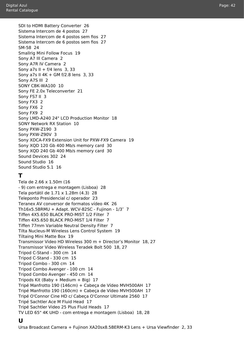SDI to HDMI Battery Converter [26](#page-26-1) Sistema Intercom de 4 postos [27](#page-27-1) Sistema Intercom de 4 postos sem fios [27](#page-27-1) Sistema Intercom de 6 postos sem fios [27](#page-27-1) SM-58 [24](#page-24-1) Smallrig Mini Follow Focus [19](#page-19-1) Sony A7 III Camera [2](#page-2-1) Sony A7R IV Camera [2](#page-2-1) Sony a7s II +  $f/4$  lens [3](#page-3-0), [33](#page-33-1) Sony a7s II 4K + GM f/2.8 lens [3](#page-3-0), [33](#page-33-1) Sony A7S III [2](#page-2-1) SONY CBK-WA100 [10](#page-10-1) Sony FE 2.0x Teleconverter [21](#page-21-1) Sony FS7 II [3](#page-3-0) Sony FX3 [2](#page-2-1) Sony FX6 [2](#page-2-1) Sony FX9 [2](#page-2-1) Sony LMD-A240 24" LCD Production Monitor [18](#page-18-1) SONY Network RX Station [10](#page-10-1) Sony PXW-Z190 [3](#page-3-0) Sony PXW-Z90V [3](#page-3-0) Sony XDCA-FX9 Extension Unit for PXW-FX9 Camera [19](#page-19-1) Sony XQD 120 Gb 400 Mb/s memory card [30](#page-30-1) Sony XQD 240 Gb 400 Mb/s memory card [30](#page-30-1) Sound Devices 302 [24](#page-24-1) Sound Studio [16](#page-16-1) Sound Studio 5.1 [16](#page-16-1)

#### **T**

Tela de 2.66 x 1.50m (16 - 9) com entrega e montagem (Lisboa) [28](#page-28-1) Tela portátil de 1.71 x 1.28m (4.3) [28](#page-28-1) Teleponto Presidencial c/ operador [23](#page-23-1) Teranex AV conversor de formatos vídeo 4K [26](#page-26-1) Th16x5.5BRMU + Adapt. WCV-82SC - Fujinon - 1/3″ [7](#page-7-0) Tiffen 4X5.650 BLACK PRO-MIST 1/2 Filter [7](#page-7-0) Tiffen 4X5.650 BLACK PRO-MIST 1/4 Filter [7](#page-7-0) Tiffen 77mm Variable Neutral Density Filter [7](#page-7-0) Tilta Nucleus-M Wireless Lens Control System [19](#page-19-1) Tiltaing Mini Matte Box [19](#page-19-1) Transmissor Video HD Wireless 300 m + Director's Monitor [18](#page-18-1), [27](#page-27-1) Transmissor Video Wireless Teradek Bolt 500 [18](#page-18-1), [27](#page-27-1) Tripod C-Stand - 300 cm [14](#page-14-1) Tripod C-Stand - 330 cm [15](#page-15-0) Tripod Combo - 300 cm [14](#page-14-1) Tripod Combo Avenger - 100 cm [14](#page-14-1) Tripod Combo Avenger - 450 cm [14](#page-14-1) Tripods Kit (Baby + Medium + Big)  $17$ Tripé Manfrotto 190 (146cm) + Cabeça de Vídeo MVH500AH [17](#page-17-1) Tripé Manfrotto 190 (160cm) + Cabeça de Vídeo MVH500AH [17](#page-17-1) Tripé O'Connor Cine HD c/ Cabeça O'Connor Ultimate 2560 [17](#page-17-1) Tripé Sachtler Ace M Fluid Head [17](#page-17-1) Tripé Sachtler Video 25 Plus Fluid Heads [17](#page-17-1) TV LED 65" 4K UHD - com entrega e montagem (Lisboa) [18,](#page-18-1) [28](#page-28-1)

#### **U**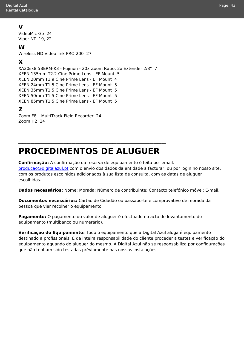#### **V**

VideoMic Go [24](#page-24-1) Viper NT [19](#page-19-1), [22](#page-22-1)

#### **W**

Wireless HD Video link PRO 200 [27](#page-27-1)

#### **X**

XA20sx8.5BERM-K3 - Fujinon - 20x Zoom Ratio, 2x Extender 2/3" [7](#page-7-0) XEEN 135mm T2.2 Cine Prime Lens - EF Mount [5](#page-5-0) XEEN 20mm T1.9 Cine Prime Lens - EF Mount [4](#page-4-1) XEEN 24mm T1.5 Cine Prime Lens - EF Mount [5](#page-5-0) XEEN 35mm T1.5 Cine Prime Lens - EF Mount [5](#page-5-0) XEEN 50mm T1.5 Cine Prime Lens - EF Mount [5](#page-5-0) XEEN 85mm T1.5 Cine Prime Lens - EF Mount [5](#page-5-0) **Z**

```
Zoom F8 – MultiTrack Field Recorder 24
Zoom H2 24
```
### **PROCEDIMENTOS DE ALUGUER**

**\_\_\_\_\_\_\_\_\_\_\_\_\_\_\_\_\_\_\_\_\_\_\_\_\_\_\_\_\_\_\_\_\_\_\_\_**

**Confirmação:** A confirmação da reserva de equipamento é feita por email: [producao@digitalazul.pt](mailto:producao@digitalazul.pt) com o envio dos dados da entidade a facturar, ou por login no nosso site, com os produtos escolhidos adicionados à sua lista de consulta, com as datas de aluguer escolhidas.

**Dados necessários:** Nome; Morada; Número de contribuinte; Contacto telefónico móvel; E-mail.

**Documentos necessários:** Cartão de Cidadão ou passaporte e comprovativo de morada da pessoa que vier recolher o equipamento.

**Pagamento:** O pagamento do valor de aluguer é efectuado no acto de levantamento do equipamento (multibanco ou numerário).

**Verificação do Equipamento:** Todo o equipamento que a Digital Azul aluga é equipamento destinado a profissionais. É da inteira responsabilidade do cliente proceder a testes e verificação do equipamento aquando do aluguer do mesmo. A Digital Azul não se responsabiliza por configurações que não tenham sido testadas préviamente nas nossas instalações.